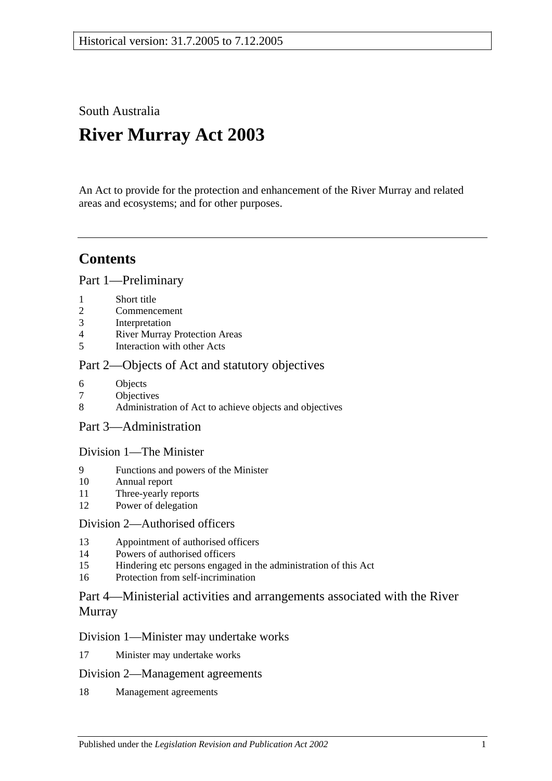South Australia

# **River Murray Act 2003**

An Act to provide for the protection and enhancement of the River Murray and related areas and ecosystems; and for other purposes.

## **Contents**

[Part 1—Preliminary](#page-2-0)

- 1 [Short title](#page-2-1)
- 2 [Commencement](#page-2-2)
- 3 [Interpretation](#page-2-3)
- 4 [River Murray Protection Areas](#page-5-0)
- 5 [Interaction with other Acts](#page-5-1)

### [Part 2—Objects of Act and statutory objectives](#page-6-0)

- 6 [Objects](#page-6-1)
- 7 [Objectives](#page-7-0)
- 8 [Administration of Act to achieve objects and objectives](#page-8-0)
- [Part 3—Administration](#page-9-0)

### [Division 1—The Minister](#page-9-1)

- 9 [Functions and powers of the Minister](#page-9-2)
- 10 [Annual report](#page-11-0)
- 11 [Three-yearly reports](#page-11-1)
- 12 [Power of delegation](#page-11-2)

### [Division 2—Authorised officers](#page-12-0)

- 13 [Appointment of authorised officers](#page-12-1)
- 14 [Powers of authorised officers](#page-12-2)
- 15 [Hindering etc persons engaged in the administration of this Act](#page-14-0)
- 16 [Protection from self-incrimination](#page-15-0)

### [Part 4—Ministerial activities and arrangements associated with the River](#page-15-1)  [Murray](#page-15-1)

### [Division 1—Minister may undertake works](#page-15-2)

17 [Minister may undertake works](#page-15-3)

### [Division 2—Management agreements](#page-16-0)

18 [Management agreements](#page-16-1)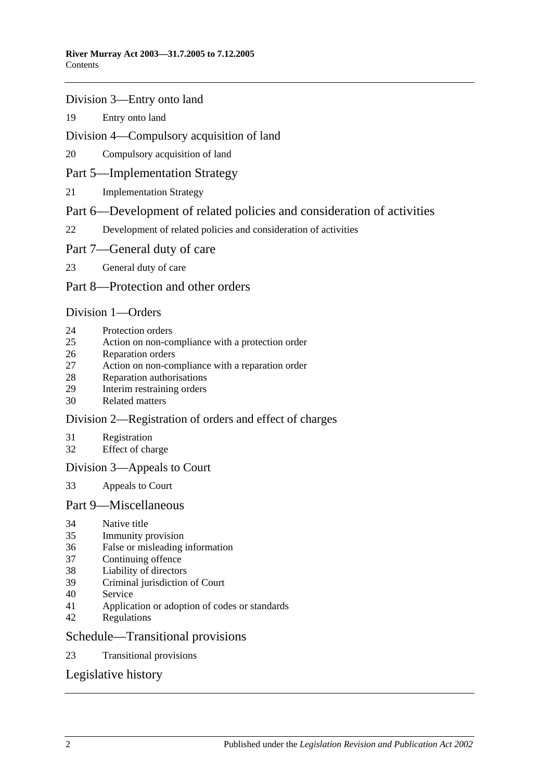#### [Division 3—Entry onto land](#page-17-0)

[Entry onto land](#page-17-1)

### [Division 4—Compulsory acquisition of land](#page-18-0)

[Compulsory acquisition of land](#page-18-1)

### [Part 5—Implementation Strategy](#page-18-2)

[Implementation Strategy](#page-18-3)

### [Part 6—Development of related policies and consideration of activities](#page-19-0)

[Development of related policies and consideration of activities](#page-19-1)

### [Part 7—General duty of care](#page-23-0)

[General duty of care](#page-23-1)

### [Part 8—Protection and other orders](#page-24-0)

### [Division 1—Orders](#page-24-1)

- [Protection orders](#page-24-2)
- [Action on non-compliance with a protection order](#page-26-0)
- [Reparation orders](#page-27-0)
- [Action on non-compliance with a reparation order](#page-28-0)
- [Reparation authorisations](#page-29-0)
- [Interim restraining orders](#page-30-0)
- [Related matters](#page-30-1)

### [Division 2—Registration of orders and effect of charges](#page-31-0)

- [Registration](#page-31-1)
- [Effect of charge](#page-32-0)

### [Division 3—Appeals to Court](#page-32-1)

[Appeals to Court](#page-32-2)

### [Part 9—Miscellaneous](#page-33-0)

- [Native title](#page-33-1)
- [Immunity provision](#page-33-2)
- [False or misleading information](#page-34-0)
- [Continuing offence](#page-34-1)
- [Liability of directors](#page-34-2)
- [Criminal jurisdiction of Court](#page-34-3)
- [Service](#page-34-4)
- [Application or adoption of codes or standards](#page-35-0)
- [Regulations](#page-35-1)

### [Schedule—Transitional provisions](#page-37-0)

[Transitional provisions](#page-37-1)

### [Legislative history](#page-39-0)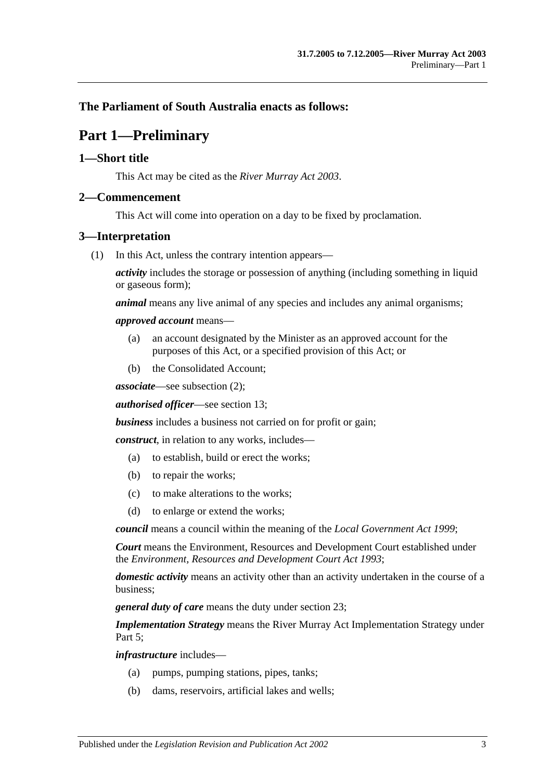### <span id="page-2-0"></span>**The Parliament of South Australia enacts as follows:**

### **Part 1—Preliminary**

### <span id="page-2-1"></span>**1—Short title**

This Act may be cited as the *River Murray Act 2003*.

#### <span id="page-2-2"></span>**2—Commencement**

This Act will come into operation on a day to be fixed by proclamation.

#### <span id="page-2-3"></span>**3—Interpretation**

(1) In this Act, unless the contrary intention appears—

*activity* includes the storage or possession of anything (including something in liquid or gaseous form);

*animal* means any live animal of any species and includes any animal organisms;

#### *approved account* means—

- (a) an account designated by the Minister as an approved account for the purposes of this Act, or a specified provision of this Act; or
- (b) the Consolidated Account;

*associate*—see [subsection](#page-4-0) (2);

*authorised officer*—see [section](#page-12-1) 13;

*business* includes a business not carried on for profit or gain;

*construct*, in relation to any works, includes—

- (a) to establish, build or erect the works;
- (b) to repair the works;
- (c) to make alterations to the works;
- (d) to enlarge or extend the works;

*council* means a council within the meaning of the *[Local Government](http://www.legislation.sa.gov.au/index.aspx?action=legref&type=act&legtitle=Local%20Government%20Act%201999) Act 1999*;

*Court* means the Environment, Resources and Development Court established under the *[Environment, Resources and Development Court Act](http://www.legislation.sa.gov.au/index.aspx?action=legref&type=act&legtitle=Environment%20Resources%20and%20Development%20Court%20Act%201993) 1993*;

*domestic activity* means an activity other than an activity undertaken in the course of a business;

*general duty of care* means the duty under [section](#page-23-1) 23;

*Implementation Strategy* means the River Murray Act Implementation Strategy under Part 5:

*infrastructure* includes—

- (a) pumps, pumping stations, pipes, tanks;
- (b) dams, reservoirs, artificial lakes and wells;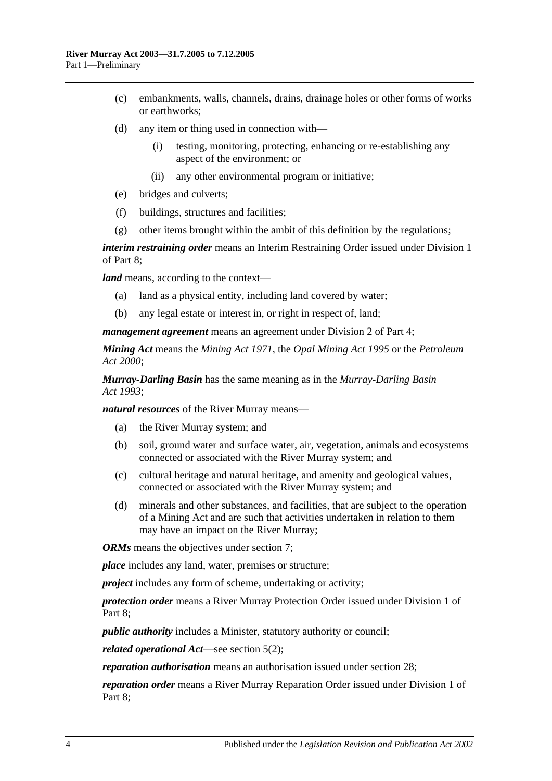- (c) embankments, walls, channels, drains, drainage holes or other forms of works or earthworks;
- (d) any item or thing used in connection with—
	- (i) testing, monitoring, protecting, enhancing or re-establishing any aspect of the environment; or
	- (ii) any other environmental program or initiative;
- (e) bridges and culverts;
- (f) buildings, structures and facilities;
- (g) other items brought within the ambit of this definition by the regulations;

*interim restraining order* means an Interim Restraining Order issued under [Division 1](#page-24-1) of [Part 8;](#page-24-0)

*land* means, according to the context—

- (a) land as a physical entity, including land covered by water;
- (b) any legal estate or interest in, or right in respect of, land;

*management agreement* means an agreement under [Division 2](#page-16-0) of [Part 4;](#page-15-1)

*Mining Act* means the *[Mining Act](http://www.legislation.sa.gov.au/index.aspx?action=legref&type=act&legtitle=Mining%20Act%201971) 1971*, the *[Opal Mining Act](http://www.legislation.sa.gov.au/index.aspx?action=legref&type=act&legtitle=Opal%20Mining%20Act%201995) 1995* or the *[Petroleum](http://www.legislation.sa.gov.au/index.aspx?action=legref&type=act&legtitle=Petroleum%20Act%202000)  Act [2000](http://www.legislation.sa.gov.au/index.aspx?action=legref&type=act&legtitle=Petroleum%20Act%202000)*;

*Murray-Darling Basin* has the same meaning as in the *[Murray-Darling Basin](http://www.legislation.sa.gov.au/index.aspx?action=legref&type=act&legtitle=Murray-Darling%20Basin%20Act%201993)  Act [1993](http://www.legislation.sa.gov.au/index.aspx?action=legref&type=act&legtitle=Murray-Darling%20Basin%20Act%201993)*;

*natural resources* of the River Murray means—

- (a) the River Murray system; and
- (b) soil, ground water and surface water, air, vegetation, animals and ecosystems connected or associated with the River Murray system; and
- (c) cultural heritage and natural heritage, and amenity and geological values, connected or associated with the River Murray system; and
- (d) minerals and other substances, and facilities, that are subject to the operation of a Mining Act and are such that activities undertaken in relation to them may have an impact on the River Murray;

*ORMs* means the objectives under [section](#page-7-0) 7:

*place* includes any land, water, premises or structure;

*project* includes any form of scheme, undertaking or activity;

*protection order* means a River Murray Protection Order issued under [Division 1](#page-24-1) of [Part 8;](#page-24-0)

*public authority* includes a Minister, statutory authority or council;

*related operational Act*—see [section](#page-5-2) 5(2);

*reparation authorisation* means an authorisation issued under [section](#page-29-0) 28;

*reparation order* means a River Murray Reparation Order issued under [Division 1](#page-24-1) of [Part 8;](#page-24-0)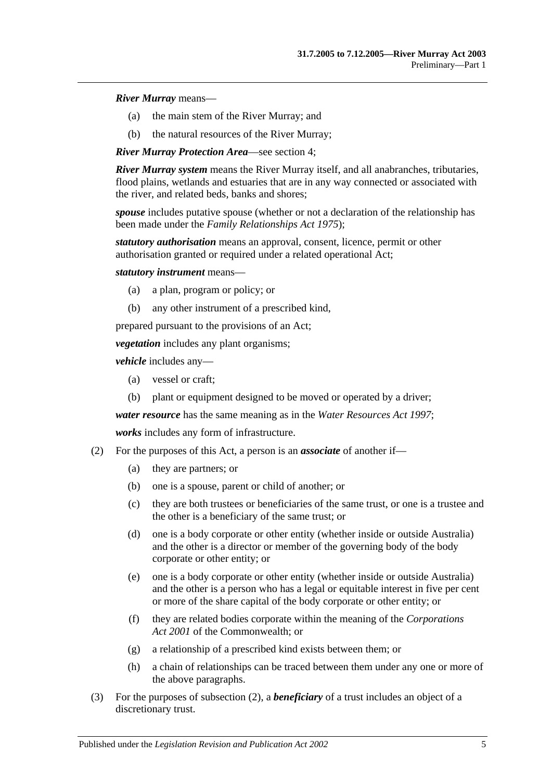#### *River Murray* means—

- (a) the main stem of the River Murray; and
- (b) the natural resources of the River Murray;

*River Murray Protection Area*—see [section](#page-5-0) 4;

*River Murray system* means the River Murray itself, and all anabranches, tributaries, flood plains, wetlands and estuaries that are in any way connected or associated with the river, and related beds, banks and shores;

*spouse* includes putative spouse (whether or not a declaration of the relationship has been made under the *[Family Relationships Act](http://www.legislation.sa.gov.au/index.aspx?action=legref&type=act&legtitle=Family%20Relationships%20Act%201975) 1975*);

*statutory authorisation* means an approval, consent, licence, permit or other authorisation granted or required under a related operational Act;

*statutory instrument* means—

- (a) a plan, program or policy; or
- (b) any other instrument of a prescribed kind,

prepared pursuant to the provisions of an Act;

*vegetation* includes any plant organisms;

*vehicle* includes any—

- (a) vessel or craft;
- (b) plant or equipment designed to be moved or operated by a driver;

*water resource* has the same meaning as in the *[Water Resources Act](http://www.legislation.sa.gov.au/index.aspx?action=legref&type=act&legtitle=Water%20Resources%20Act%201997) 1997*;

*works* includes any form of infrastructure.

- <span id="page-4-0"></span>(2) For the purposes of this Act, a person is an *associate* of another if—
	- (a) they are partners; or
	- (b) one is a spouse, parent or child of another; or
	- (c) they are both trustees or beneficiaries of the same trust, or one is a trustee and the other is a beneficiary of the same trust; or
	- (d) one is a body corporate or other entity (whether inside or outside Australia) and the other is a director or member of the governing body of the body corporate or other entity; or
	- (e) one is a body corporate or other entity (whether inside or outside Australia) and the other is a person who has a legal or equitable interest in five per cent or more of the share capital of the body corporate or other entity; or
	- (f) they are related bodies corporate within the meaning of the *Corporations Act 2001* of the Commonwealth; or
	- (g) a relationship of a prescribed kind exists between them; or
	- (h) a chain of relationships can be traced between them under any one or more of the above paragraphs.
- (3) For the purposes of [subsection](#page-4-0) (2), a *beneficiary* of a trust includes an object of a discretionary trust.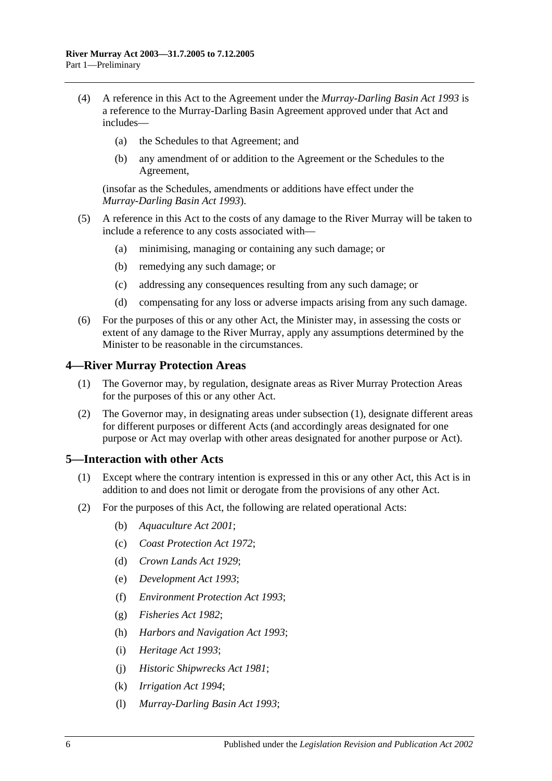- (4) A reference in this Act to the Agreement under the *[Murray-Darling Basin Act](http://www.legislation.sa.gov.au/index.aspx?action=legref&type=act&legtitle=Murray-Darling%20Basin%20Act%201993) 1993* is a reference to the Murray-Darling Basin Agreement approved under that Act and includes—
	- (a) the Schedules to that Agreement; and
	- (b) any amendment of or addition to the Agreement or the Schedules to the Agreement,

(insofar as the Schedules, amendments or additions have effect under the *[Murray-Darling Basin Act](http://www.legislation.sa.gov.au/index.aspx?action=legref&type=act&legtitle=Murray-Darling%20Basin%20Act%201993) 1993*).

- (5) A reference in this Act to the costs of any damage to the River Murray will be taken to include a reference to any costs associated with—
	- (a) minimising, managing or containing any such damage; or
	- (b) remedying any such damage; or
	- (c) addressing any consequences resulting from any such damage; or
	- (d) compensating for any loss or adverse impacts arising from any such damage.
- (6) For the purposes of this or any other Act, the Minister may, in assessing the costs or extent of any damage to the River Murray, apply any assumptions determined by the Minister to be reasonable in the circumstances.

#### <span id="page-5-3"></span><span id="page-5-0"></span>**4—River Murray Protection Areas**

- (1) The Governor may, by regulation, designate areas as River Murray Protection Areas for the purposes of this or any other Act.
- (2) The Governor may, in designating areas under [subsection](#page-5-3) (1), designate different areas for different purposes or different Acts (and accordingly areas designated for one purpose or Act may overlap with other areas designated for another purpose or Act).

#### <span id="page-5-1"></span>**5—Interaction with other Acts**

- (1) Except where the contrary intention is expressed in this or any other Act, this Act is in addition to and does not limit or derogate from the provisions of any other Act.
- <span id="page-5-2"></span>(2) For the purposes of this Act, the following are related operational Acts:
	- (b) *[Aquaculture Act](http://www.legislation.sa.gov.au/index.aspx?action=legref&type=act&legtitle=Aquaculture%20Act%202001) 2001*;
	- (c) *[Coast Protection Act](http://www.legislation.sa.gov.au/index.aspx?action=legref&type=act&legtitle=Coast%20Protection%20Act%201972) 1972*;
	- (d) *[Crown Lands Act](http://www.legislation.sa.gov.au/index.aspx?action=legref&type=act&legtitle=Crown%20Lands%20Act%201929) 1929*;
	- (e) *[Development Act](http://www.legislation.sa.gov.au/index.aspx?action=legref&type=act&legtitle=Development%20Act%201993) 1993*;
	- (f) *[Environment Protection Act](http://www.legislation.sa.gov.au/index.aspx?action=legref&type=act&legtitle=Environment%20Protection%20Act%201993) 1993*;
	- (g) *[Fisheries Act](http://www.legislation.sa.gov.au/index.aspx?action=legref&type=act&legtitle=Fisheries%20Act%201982) 1982*;
	- (h) *[Harbors and Navigation Act](http://www.legislation.sa.gov.au/index.aspx?action=legref&type=act&legtitle=Harbors%20and%20Navigation%20Act%201993) 1993*;
	- (i) *[Heritage Act](http://www.legislation.sa.gov.au/index.aspx?action=legref&type=act&legtitle=Heritage%20Act%201993) 1993*;
	- (j) *[Historic Shipwrecks Act](http://www.legislation.sa.gov.au/index.aspx?action=legref&type=act&legtitle=Historic%20Shipwrecks%20Act%201981) 1981*;
	- (k) *[Irrigation Act](http://www.legislation.sa.gov.au/index.aspx?action=legref&type=act&legtitle=Irrigation%20Act%201994) 1994*;
	- (l) *[Murray-Darling Basin Act](http://www.legislation.sa.gov.au/index.aspx?action=legref&type=act&legtitle=Murray-Darling%20Basin%20Act%201993) 1993*;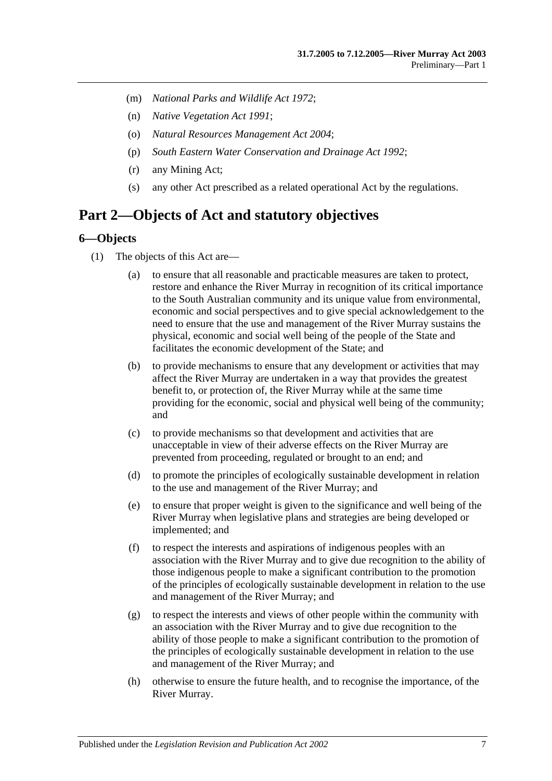- (m) *[National Parks and Wildlife Act](http://www.legislation.sa.gov.au/index.aspx?action=legref&type=act&legtitle=National%20Parks%20and%20Wildlife%20Act%201972) 1972*;
- (n) *[Native Vegetation Act](http://www.legislation.sa.gov.au/index.aspx?action=legref&type=act&legtitle=Native%20Vegetation%20Act%201991) 1991*;
- (o) *[Natural Resources Management Act](http://www.legislation.sa.gov.au/index.aspx?action=legref&type=act&legtitle=Natural%20Resources%20Management%20Act%202004) 2004*;
- (p) *[South Eastern Water Conservation and Drainage Act](http://www.legislation.sa.gov.au/index.aspx?action=legref&type=act&legtitle=South%20Eastern%20Water%20Conservation%20and%20Drainage%20Act%201992) 1992*;
- (r) any Mining Act;
- (s) any other Act prescribed as a related operational Act by the regulations.

### <span id="page-6-0"></span>**Part 2—Objects of Act and statutory objectives**

#### <span id="page-6-1"></span>**6—Objects**

- (1) The objects of this Act are—
	- (a) to ensure that all reasonable and practicable measures are taken to protect, restore and enhance the River Murray in recognition of its critical importance to the South Australian community and its unique value from environmental, economic and social perspectives and to give special acknowledgement to the need to ensure that the use and management of the River Murray sustains the physical, economic and social well being of the people of the State and facilitates the economic development of the State; and
	- (b) to provide mechanisms to ensure that any development or activities that may affect the River Murray are undertaken in a way that provides the greatest benefit to, or protection of, the River Murray while at the same time providing for the economic, social and physical well being of the community; and
	- (c) to provide mechanisms so that development and activities that are unacceptable in view of their adverse effects on the River Murray are prevented from proceeding, regulated or brought to an end; and
	- (d) to promote the principles of ecologically sustainable development in relation to the use and management of the River Murray; and
	- (e) to ensure that proper weight is given to the significance and well being of the River Murray when legislative plans and strategies are being developed or implemented; and
	- (f) to respect the interests and aspirations of indigenous peoples with an association with the River Murray and to give due recognition to the ability of those indigenous people to make a significant contribution to the promotion of the principles of ecologically sustainable development in relation to the use and management of the River Murray; and
	- (g) to respect the interests and views of other people within the community with an association with the River Murray and to give due recognition to the ability of those people to make a significant contribution to the promotion of the principles of ecologically sustainable development in relation to the use and management of the River Murray; and
	- (h) otherwise to ensure the future health, and to recognise the importance, of the River Murray.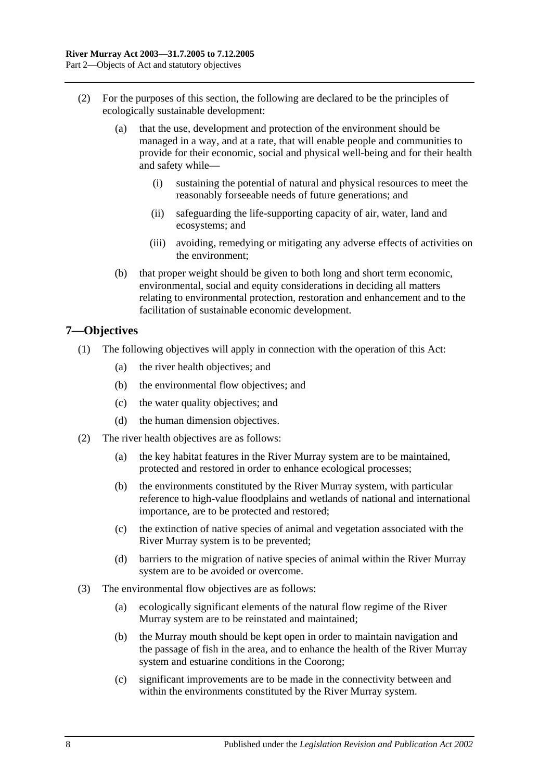- (2) For the purposes of this section, the following are declared to be the principles of ecologically sustainable development:
	- (a) that the use, development and protection of the environment should be managed in a way, and at a rate, that will enable people and communities to provide for their economic, social and physical well-being and for their health and safety while—
		- (i) sustaining the potential of natural and physical resources to meet the reasonably forseeable needs of future generations; and
		- (ii) safeguarding the life-supporting capacity of air, water, land and ecosystems; and
		- (iii) avoiding, remedying or mitigating any adverse effects of activities on the environment;
	- (b) that proper weight should be given to both long and short term economic, environmental, social and equity considerations in deciding all matters relating to environmental protection, restoration and enhancement and to the facilitation of sustainable economic development.

### <span id="page-7-0"></span>**7—Objectives**

- (1) The following objectives will apply in connection with the operation of this Act:
	- (a) the river health objectives; and
	- (b) the environmental flow objectives; and
	- (c) the water quality objectives; and
	- (d) the human dimension objectives.
- (2) The river health objectives are as follows:
	- (a) the key habitat features in the River Murray system are to be maintained, protected and restored in order to enhance ecological processes;
	- (b) the environments constituted by the River Murray system, with particular reference to high-value floodplains and wetlands of national and international importance, are to be protected and restored;
	- (c) the extinction of native species of animal and vegetation associated with the River Murray system is to be prevented;
	- (d) barriers to the migration of native species of animal within the River Murray system are to be avoided or overcome.
- (3) The environmental flow objectives are as follows:
	- (a) ecologically significant elements of the natural flow regime of the River Murray system are to be reinstated and maintained;
	- (b) the Murray mouth should be kept open in order to maintain navigation and the passage of fish in the area, and to enhance the health of the River Murray system and estuarine conditions in the Coorong;
	- (c) significant improvements are to be made in the connectivity between and within the environments constituted by the River Murray system.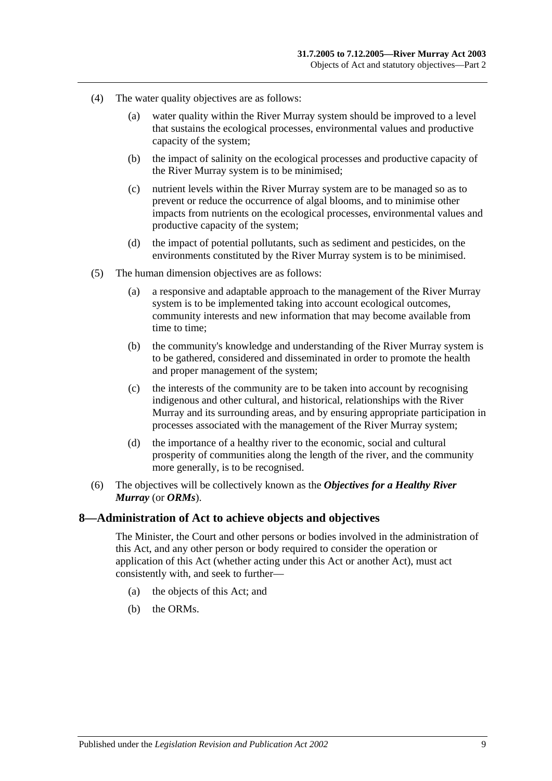- (4) The water quality objectives are as follows:
	- (a) water quality within the River Murray system should be improved to a level that sustains the ecological processes, environmental values and productive capacity of the system;
	- (b) the impact of salinity on the ecological processes and productive capacity of the River Murray system is to be minimised;
	- (c) nutrient levels within the River Murray system are to be managed so as to prevent or reduce the occurrence of algal blooms, and to minimise other impacts from nutrients on the ecological processes, environmental values and productive capacity of the system;
	- (d) the impact of potential pollutants, such as sediment and pesticides, on the environments constituted by the River Murray system is to be minimised.
- (5) The human dimension objectives are as follows:
	- (a) a responsive and adaptable approach to the management of the River Murray system is to be implemented taking into account ecological outcomes, community interests and new information that may become available from time to time;
	- (b) the community's knowledge and understanding of the River Murray system is to be gathered, considered and disseminated in order to promote the health and proper management of the system;
	- (c) the interests of the community are to be taken into account by recognising indigenous and other cultural, and historical, relationships with the River Murray and its surrounding areas, and by ensuring appropriate participation in processes associated with the management of the River Murray system;
	- (d) the importance of a healthy river to the economic, social and cultural prosperity of communities along the length of the river, and the community more generally, is to be recognised.
- (6) The objectives will be collectively known as the *Objectives for a Healthy River Murray* (or *ORMs*).

#### <span id="page-8-0"></span>**8—Administration of Act to achieve objects and objectives**

The Minister, the Court and other persons or bodies involved in the administration of this Act, and any other person or body required to consider the operation or application of this Act (whether acting under this Act or another Act), must act consistently with, and seek to further—

- (a) the objects of this Act; and
- (b) the ORMs.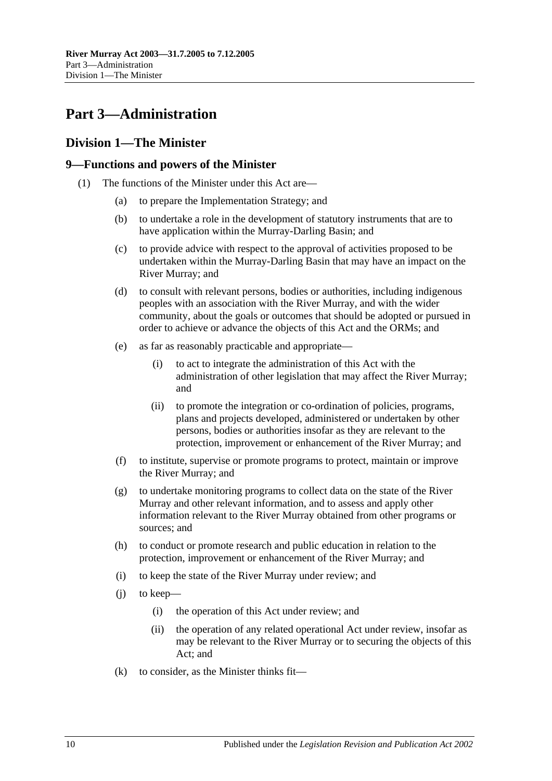## <span id="page-9-0"></span>**Part 3—Administration**

### <span id="page-9-1"></span>**Division 1—The Minister**

### <span id="page-9-2"></span>**9—Functions and powers of the Minister**

- <span id="page-9-3"></span>(1) The functions of the Minister under this Act are—
	- (a) to prepare the Implementation Strategy; and
	- (b) to undertake a role in the development of statutory instruments that are to have application within the Murray-Darling Basin; and
	- (c) to provide advice with respect to the approval of activities proposed to be undertaken within the Murray-Darling Basin that may have an impact on the River Murray; and
	- (d) to consult with relevant persons, bodies or authorities, including indigenous peoples with an association with the River Murray, and with the wider community, about the goals or outcomes that should be adopted or pursued in order to achieve or advance the objects of this Act and the ORMs; and
	- (e) as far as reasonably practicable and appropriate—
		- (i) to act to integrate the administration of this Act with the administration of other legislation that may affect the River Murray; and
		- (ii) to promote the integration or co-ordination of policies, programs, plans and projects developed, administered or undertaken by other persons, bodies or authorities insofar as they are relevant to the protection, improvement or enhancement of the River Murray; and
	- (f) to institute, supervise or promote programs to protect, maintain or improve the River Murray; and
	- (g) to undertake monitoring programs to collect data on the state of the River Murray and other relevant information, and to assess and apply other information relevant to the River Murray obtained from other programs or sources; and
	- (h) to conduct or promote research and public education in relation to the protection, improvement or enhancement of the River Murray; and
	- (i) to keep the state of the River Murray under review; and
	- (j) to keep—
		- (i) the operation of this Act under review; and
		- (ii) the operation of any related operational Act under review, insofar as may be relevant to the River Murray or to securing the objects of this Act; and
	- $(k)$  to consider, as the Minister thinks fit—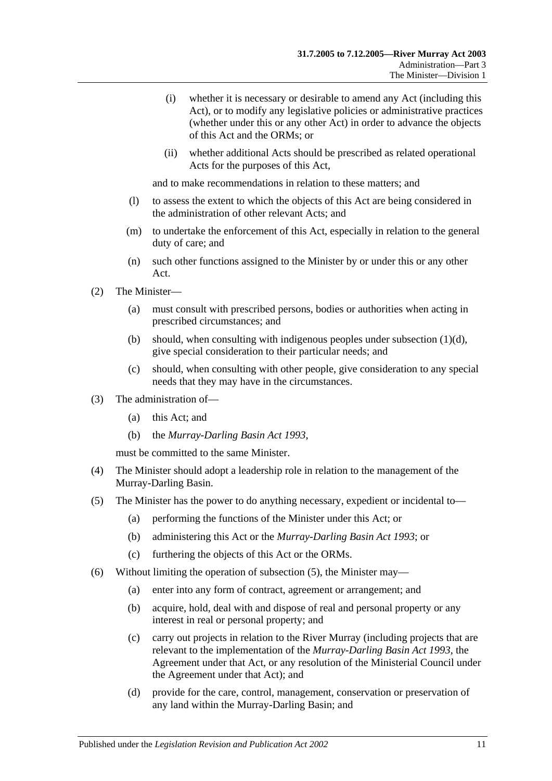- (i) whether it is necessary or desirable to amend any Act (including this Act), or to modify any legislative policies or administrative practices (whether under this or any other Act) in order to advance the objects of this Act and the ORMs; or
- (ii) whether additional Acts should be prescribed as related operational Acts for the purposes of this Act,

and to make recommendations in relation to these matters; and

- (l) to assess the extent to which the objects of this Act are being considered in the administration of other relevant Acts; and
- (m) to undertake the enforcement of this Act, especially in relation to the general duty of care; and
- (n) such other functions assigned to the Minister by or under this or any other Act.
- (2) The Minister—
	- (a) must consult with prescribed persons, bodies or authorities when acting in prescribed circumstances; and
	- (b) should, when consulting with indigenous peoples under [subsection](#page-9-3)  $(1)(d)$ , give special consideration to their particular needs; and
	- (c) should, when consulting with other people, give consideration to any special needs that they may have in the circumstances.
- (3) The administration of—
	- (a) this Act; and
	- (b) the *[Murray-Darling Basin Act](http://www.legislation.sa.gov.au/index.aspx?action=legref&type=act&legtitle=Murray-Darling%20Basin%20Act%201993) 1993*,

must be committed to the same Minister.

- (4) The Minister should adopt a leadership role in relation to the management of the Murray-Darling Basin.
- <span id="page-10-0"></span>(5) The Minister has the power to do anything necessary, expedient or incidental to—
	- (a) performing the functions of the Minister under this Act; or
	- (b) administering this Act or the *[Murray-Darling Basin Act](http://www.legislation.sa.gov.au/index.aspx?action=legref&type=act&legtitle=Murray-Darling%20Basin%20Act%201993) 1993*; or
	- (c) furthering the objects of this Act or the ORMs.
- (6) Without limiting the operation of [subsection](#page-10-0) (5), the Minister may—
	- (a) enter into any form of contract, agreement or arrangement; and
	- (b) acquire, hold, deal with and dispose of real and personal property or any interest in real or personal property; and
	- (c) carry out projects in relation to the River Murray (including projects that are relevant to the implementation of the *[Murray-Darling Basin Act](http://www.legislation.sa.gov.au/index.aspx?action=legref&type=act&legtitle=Murray-Darling%20Basin%20Act%201993) 1993*, the Agreement under that Act, or any resolution of the Ministerial Council under the Agreement under that Act); and
	- (d) provide for the care, control, management, conservation or preservation of any land within the Murray-Darling Basin; and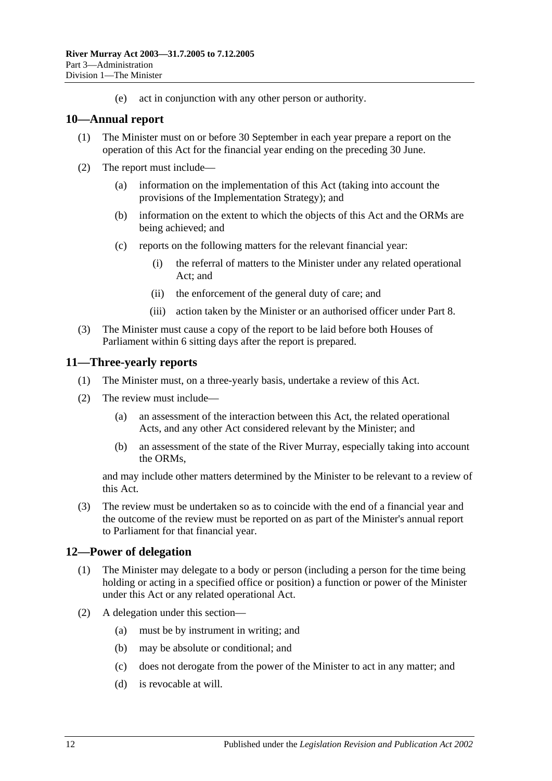(e) act in conjunction with any other person or authority.

### <span id="page-11-0"></span>**10—Annual report**

- (1) The Minister must on or before 30 September in each year prepare a report on the operation of this Act for the financial year ending on the preceding 30 June.
- (2) The report must include—
	- (a) information on the implementation of this Act (taking into account the provisions of the Implementation Strategy); and
	- (b) information on the extent to which the objects of this Act and the ORMs are being achieved; and
	- (c) reports on the following matters for the relevant financial year:
		- (i) the referral of matters to the Minister under any related operational Act; and
		- (ii) the enforcement of the general duty of care; and
		- (iii) action taken by the Minister or an authorised officer under [Part 8.](#page-24-0)
- (3) The Minister must cause a copy of the report to be laid before both Houses of Parliament within 6 sitting days after the report is prepared.

### <span id="page-11-1"></span>**11—Three-yearly reports**

- (1) The Minister must, on a three-yearly basis, undertake a review of this Act.
- (2) The review must include—
	- (a) an assessment of the interaction between this Act, the related operational Acts, and any other Act considered relevant by the Minister; and
	- (b) an assessment of the state of the River Murray, especially taking into account the ORMs,

and may include other matters determined by the Minister to be relevant to a review of this Act.

(3) The review must be undertaken so as to coincide with the end of a financial year and the outcome of the review must be reported on as part of the Minister's annual report to Parliament for that financial year.

### <span id="page-11-2"></span>**12—Power of delegation**

- (1) The Minister may delegate to a body or person (including a person for the time being holding or acting in a specified office or position) a function or power of the Minister under this Act or any related operational Act.
- (2) A delegation under this section—
	- (a) must be by instrument in writing; and
	- (b) may be absolute or conditional; and
	- (c) does not derogate from the power of the Minister to act in any matter; and
	- (d) is revocable at will.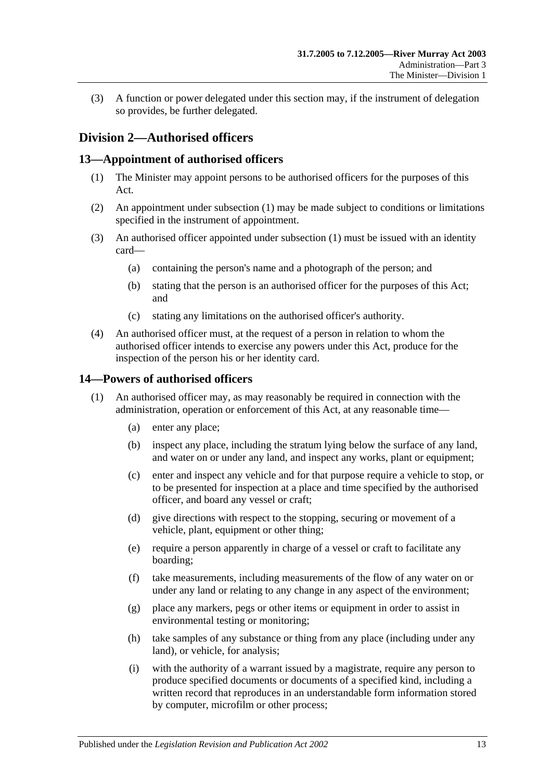(3) A function or power delegated under this section may, if the instrument of delegation so provides, be further delegated.

### <span id="page-12-0"></span>**Division 2—Authorised officers**

### <span id="page-12-3"></span><span id="page-12-1"></span>**13—Appointment of authorised officers**

- (1) The Minister may appoint persons to be authorised officers for the purposes of this Act.
- (2) An appointment under [subsection](#page-12-3) (1) may be made subject to conditions or limitations specified in the instrument of appointment.
- (3) An authorised officer appointed under [subsection](#page-12-3) (1) must be issued with an identity card—
	- (a) containing the person's name and a photograph of the person; and
	- (b) stating that the person is an authorised officer for the purposes of this Act; and
	- (c) stating any limitations on the authorised officer's authority.
- (4) An authorised officer must, at the request of a person in relation to whom the authorised officer intends to exercise any powers under this Act, produce for the inspection of the person his or her identity card.

### <span id="page-12-4"></span><span id="page-12-2"></span>**14—Powers of authorised officers**

- <span id="page-12-5"></span>(1) An authorised officer may, as may reasonably be required in connection with the administration, operation or enforcement of this Act, at any reasonable time—
	- (a) enter any place;
	- (b) inspect any place, including the stratum lying below the surface of any land, and water on or under any land, and inspect any works, plant or equipment;
	- (c) enter and inspect any vehicle and for that purpose require a vehicle to stop, or to be presented for inspection at a place and time specified by the authorised officer, and board any vessel or craft;
	- (d) give directions with respect to the stopping, securing or movement of a vehicle, plant, equipment or other thing;
	- (e) require a person apparently in charge of a vessel or craft to facilitate any boarding;
	- (f) take measurements, including measurements of the flow of any water on or under any land or relating to any change in any aspect of the environment;
	- (g) place any markers, pegs or other items or equipment in order to assist in environmental testing or monitoring;
	- (h) take samples of any substance or thing from any place (including under any land), or vehicle, for analysis;
	- (i) with the authority of a warrant issued by a magistrate, require any person to produce specified documents or documents of a specified kind, including a written record that reproduces in an understandable form information stored by computer, microfilm or other process;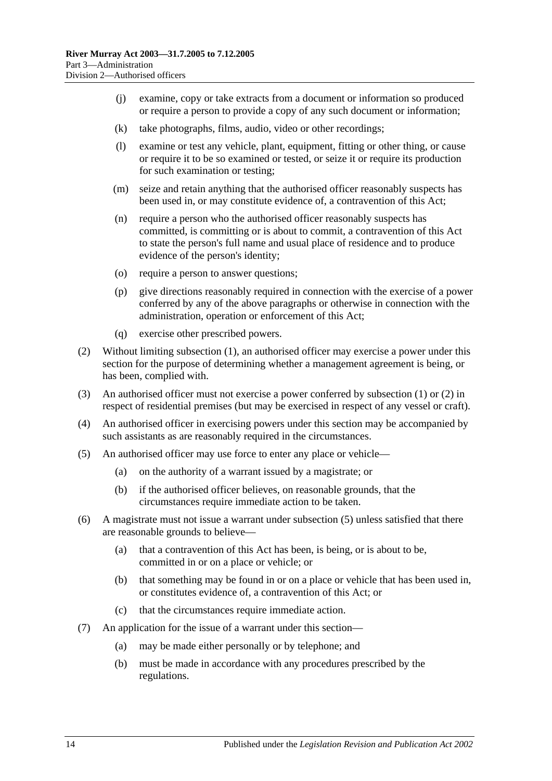- (j) examine, copy or take extracts from a document or information so produced or require a person to provide a copy of any such document or information;
- (k) take photographs, films, audio, video or other recordings;
- (l) examine or test any vehicle, plant, equipment, fitting or other thing, or cause or require it to be so examined or tested, or seize it or require its production for such examination or testing;
- (m) seize and retain anything that the authorised officer reasonably suspects has been used in, or may constitute evidence of, a contravention of this Act;
- (n) require a person who the authorised officer reasonably suspects has committed, is committing or is about to commit, a contravention of this Act to state the person's full name and usual place of residence and to produce evidence of the person's identity;
- (o) require a person to answer questions;
- (p) give directions reasonably required in connection with the exercise of a power conferred by any of the above paragraphs or otherwise in connection with the administration, operation or enforcement of this Act;
- (q) exercise other prescribed powers.
- <span id="page-13-0"></span>(2) Without limiting [subsection](#page-12-4) (1), an authorised officer may exercise a power under this section for the purpose of determining whether a management agreement is being, or has been, complied with.
- (3) An authorised officer must not exercise a power conferred by [subsection](#page-12-4) (1) or [\(2\)](#page-13-0) in respect of residential premises (but may be exercised in respect of any vessel or craft).
- (4) An authorised officer in exercising powers under this section may be accompanied by such assistants as are reasonably required in the circumstances.
- <span id="page-13-1"></span>(5) An authorised officer may use force to enter any place or vehicle—
	- (a) on the authority of a warrant issued by a magistrate; or
	- (b) if the authorised officer believes, on reasonable grounds, that the circumstances require immediate action to be taken.
- (6) A magistrate must not issue a warrant under [subsection](#page-13-1) (5) unless satisfied that there are reasonable grounds to believe—
	- (a) that a contravention of this Act has been, is being, or is about to be, committed in or on a place or vehicle; or
	- (b) that something may be found in or on a place or vehicle that has been used in, or constitutes evidence of, a contravention of this Act; or
	- (c) that the circumstances require immediate action.
- (7) An application for the issue of a warrant under this section—
	- (a) may be made either personally or by telephone; and
	- (b) must be made in accordance with any procedures prescribed by the regulations.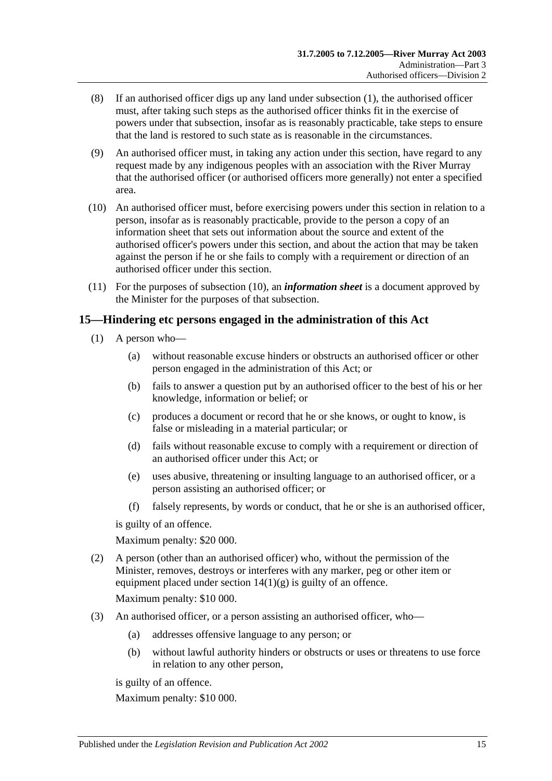- (8) If an authorised officer digs up any land under [subsection](#page-12-4) (1), the authorised officer must, after taking such steps as the authorised officer thinks fit in the exercise of powers under that subsection, insofar as is reasonably practicable, take steps to ensure that the land is restored to such state as is reasonable in the circumstances.
- (9) An authorised officer must, in taking any action under this section, have regard to any request made by any indigenous peoples with an association with the River Murray that the authorised officer (or authorised officers more generally) not enter a specified area.
- <span id="page-14-1"></span>(10) An authorised officer must, before exercising powers under this section in relation to a person, insofar as is reasonably practicable, provide to the person a copy of an information sheet that sets out information about the source and extent of the authorised officer's powers under this section, and about the action that may be taken against the person if he or she fails to comply with a requirement or direction of an authorised officer under this section.
- (11) For the purposes of [subsection](#page-14-1) (10), an *information sheet* is a document approved by the Minister for the purposes of that subsection.

### <span id="page-14-0"></span>**15—Hindering etc persons engaged in the administration of this Act**

- (1) A person who—
	- (a) without reasonable excuse hinders or obstructs an authorised officer or other person engaged in the administration of this Act; or
	- (b) fails to answer a question put by an authorised officer to the best of his or her knowledge, information or belief; or
	- (c) produces a document or record that he or she knows, or ought to know, is false or misleading in a material particular; or
	- (d) fails without reasonable excuse to comply with a requirement or direction of an authorised officer under this Act; or
	- (e) uses abusive, threatening or insulting language to an authorised officer, or a person assisting an authorised officer; or
	- (f) falsely represents, by words or conduct, that he or she is an authorised officer,

is guilty of an offence.

Maximum penalty: \$20 000.

- (2) A person (other than an authorised officer) who, without the permission of the Minister, removes, destroys or interferes with any marker, peg or other item or equipment placed under section  $14(1)(g)$  is guilty of an offence. Maximum penalty: \$10 000.
- (3) An authorised officer, or a person assisting an authorised officer, who—
	- (a) addresses offensive language to any person; or
	- (b) without lawful authority hinders or obstructs or uses or threatens to use force in relation to any other person,

is guilty of an offence.

Maximum penalty: \$10 000.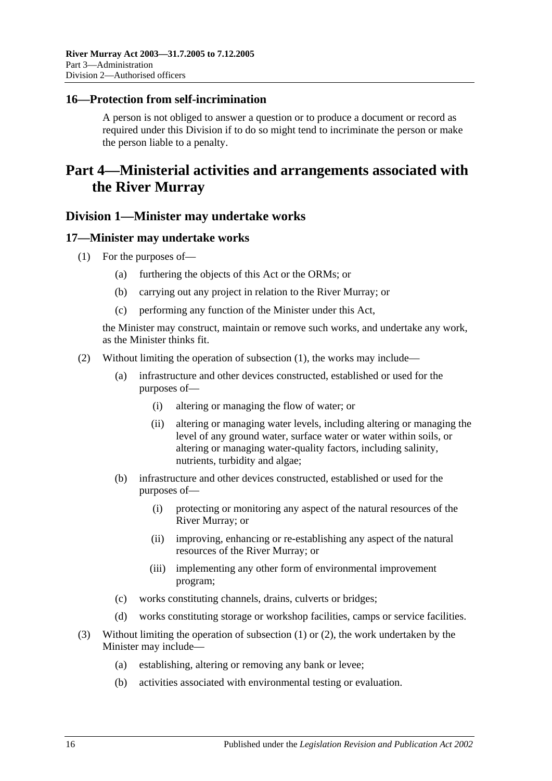### <span id="page-15-0"></span>**16—Protection from self-incrimination**

A person is not obliged to answer a question or to produce a document or record as required under this Division if to do so might tend to incriminate the person or make the person liable to a penalty.

## <span id="page-15-1"></span>**Part 4—Ministerial activities and arrangements associated with the River Murray**

### <span id="page-15-2"></span>**Division 1—Minister may undertake works**

### <span id="page-15-4"></span><span id="page-15-3"></span>**17—Minister may undertake works**

- (1) For the purposes of—
	- (a) furthering the objects of this Act or the ORMs; or
	- (b) carrying out any project in relation to the River Murray; or
	- (c) performing any function of the Minister under this Act,

the Minister may construct, maintain or remove such works, and undertake any work, as the Minister thinks fit.

- <span id="page-15-5"></span>(2) Without limiting the operation of [subsection](#page-15-4) (1), the works may include—
	- (a) infrastructure and other devices constructed, established or used for the purposes of—
		- (i) altering or managing the flow of water; or
		- (ii) altering or managing water levels, including altering or managing the level of any ground water, surface water or water within soils, or altering or managing water-quality factors, including salinity, nutrients, turbidity and algae;
	- (b) infrastructure and other devices constructed, established or used for the purposes of—
		- (i) protecting or monitoring any aspect of the natural resources of the River Murray; or
		- (ii) improving, enhancing or re-establishing any aspect of the natural resources of the River Murray; or
		- (iii) implementing any other form of environmental improvement program;
	- (c) works constituting channels, drains, culverts or bridges;
	- (d) works constituting storage or workshop facilities, camps or service facilities.
- (3) Without limiting the operation of [subsection](#page-15-4) (1) or [\(2\),](#page-15-5) the work undertaken by the Minister may include—
	- (a) establishing, altering or removing any bank or levee;
	- (b) activities associated with environmental testing or evaluation.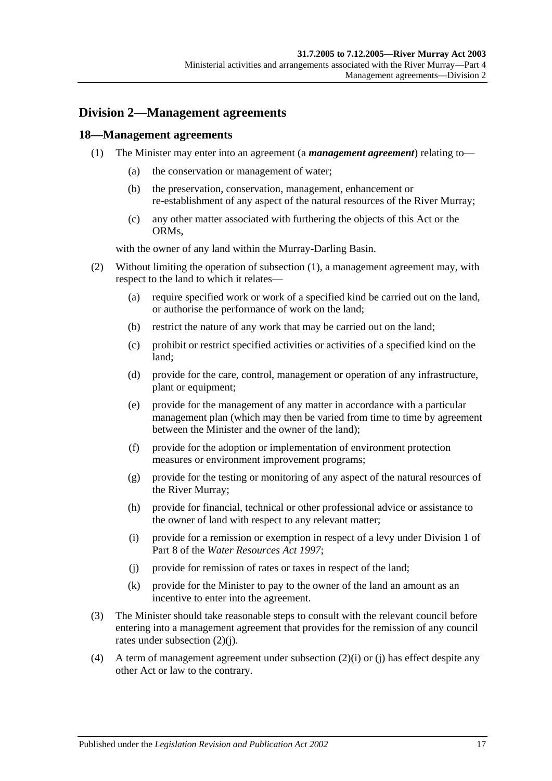### <span id="page-16-0"></span>**Division 2—Management agreements**

### <span id="page-16-2"></span><span id="page-16-1"></span>**18—Management agreements**

- (1) The Minister may enter into an agreement (a *management agreement*) relating to—
	- (a) the conservation or management of water;
	- (b) the preservation, conservation, management, enhancement or re-establishment of any aspect of the natural resources of the River Murray;
	- (c) any other matter associated with furthering the objects of this Act or the ORMs,

with the owner of any land within the Murray-Darling Basin.

- (2) Without limiting the operation of [subsection](#page-16-2) (1), a management agreement may, with respect to the land to which it relates—
	- (a) require specified work or work of a specified kind be carried out on the land, or authorise the performance of work on the land;
	- (b) restrict the nature of any work that may be carried out on the land;
	- (c) prohibit or restrict specified activities or activities of a specified kind on the land;
	- (d) provide for the care, control, management or operation of any infrastructure, plant or equipment;
	- (e) provide for the management of any matter in accordance with a particular management plan (which may then be varied from time to time by agreement between the Minister and the owner of the land);
	- (f) provide for the adoption or implementation of environment protection measures or environment improvement programs;
	- (g) provide for the testing or monitoring of any aspect of the natural resources of the River Murray;
	- (h) provide for financial, technical or other professional advice or assistance to the owner of land with respect to any relevant matter;
	- (i) provide for a remission or exemption in respect of a levy under Division 1 of Part 8 of the *[Water Resources Act](http://www.legislation.sa.gov.au/index.aspx?action=legref&type=act&legtitle=Water%20Resources%20Act%201997) 1997*;
	- (j) provide for remission of rates or taxes in respect of the land;
	- (k) provide for the Minister to pay to the owner of the land an amount as an incentive to enter into the agreement.
- <span id="page-16-4"></span><span id="page-16-3"></span>(3) The Minister should take reasonable steps to consult with the relevant council before entering into a management agreement that provides for the remission of any council rates under [subsection](#page-16-3) (2)(j).
- (4) A term of management agreement under [subsection](#page-16-4) (2)(i) or [\(j\)](#page-16-3) has effect despite any other Act or law to the contrary.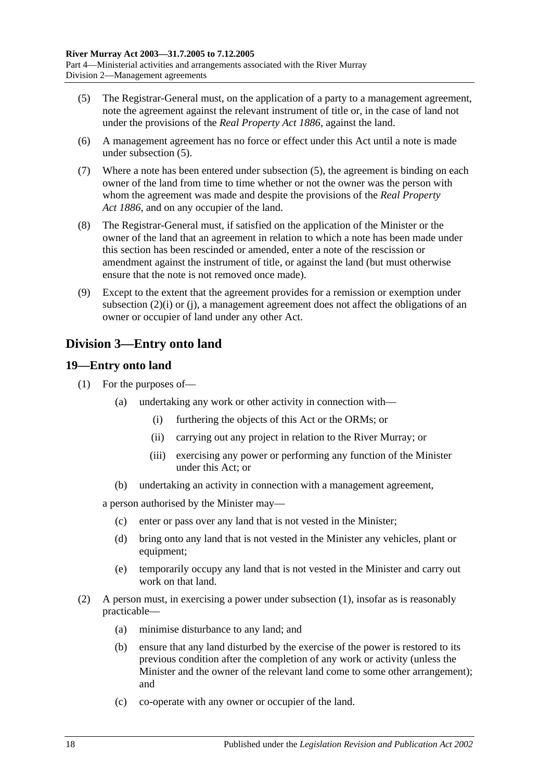- <span id="page-17-2"></span>(5) The Registrar-General must, on the application of a party to a management agreement, note the agreement against the relevant instrument of title or, in the case of land not under the provisions of the *[Real Property Act](http://www.legislation.sa.gov.au/index.aspx?action=legref&type=act&legtitle=Real%20Property%20Act%201886) 1886*, against the land.
- (6) A management agreement has no force or effect under this Act until a note is made under [subsection](#page-17-2) (5).
- (7) Where a note has been entered under [subsection](#page-17-2) (5), the agreement is binding on each owner of the land from time to time whether or not the owner was the person with whom the agreement was made and despite the provisions of the *[Real Property](http://www.legislation.sa.gov.au/index.aspx?action=legref&type=act&legtitle=Real%20Property%20Act%201886)  Act [1886](http://www.legislation.sa.gov.au/index.aspx?action=legref&type=act&legtitle=Real%20Property%20Act%201886)*, and on any occupier of the land.
- (8) The Registrar-General must, if satisfied on the application of the Minister or the owner of the land that an agreement in relation to which a note has been made under this section has been rescinded or amended, enter a note of the rescission or amendment against the instrument of title, or against the land (but must otherwise ensure that the note is not removed once made).
- (9) Except to the extent that the agreement provides for a remission or exemption under [subsection](#page-16-4) (2)(i) or [\(j\),](#page-16-3) a management agreement does not affect the obligations of an owner or occupier of land under any other Act.

### <span id="page-17-0"></span>**Division 3—Entry onto land**

### <span id="page-17-3"></span><span id="page-17-1"></span>**19—Entry onto land**

- (1) For the purposes of—
	- (a) undertaking any work or other activity in connection with—
		- (i) furthering the objects of this Act or the ORMs; or
		- (ii) carrying out any project in relation to the River Murray; or
		- (iii) exercising any power or performing any function of the Minister under this Act; or
	- (b) undertaking an activity in connection with a management agreement,

a person authorised by the Minister may—

- (c) enter or pass over any land that is not vested in the Minister;
- (d) bring onto any land that is not vested in the Minister any vehicles, plant or equipment;
- (e) temporarily occupy any land that is not vested in the Minister and carry out work on that land.
- (2) A person must, in exercising a power under [subsection](#page-17-3) (1), insofar as is reasonably practicable—
	- (a) minimise disturbance to any land; and
	- (b) ensure that any land disturbed by the exercise of the power is restored to its previous condition after the completion of any work or activity (unless the Minister and the owner of the relevant land come to some other arrangement); and
	- (c) co-operate with any owner or occupier of the land.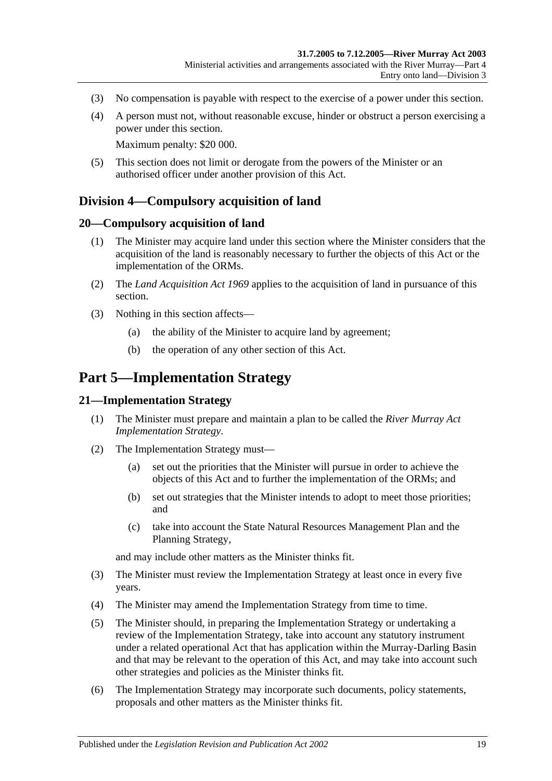- (3) No compensation is payable with respect to the exercise of a power under this section.
- (4) A person must not, without reasonable excuse, hinder or obstruct a person exercising a power under this section.

Maximum penalty: \$20 000.

(5) This section does not limit or derogate from the powers of the Minister or an authorised officer under another provision of this Act.

### <span id="page-18-0"></span>**Division 4—Compulsory acquisition of land**

### <span id="page-18-1"></span>**20—Compulsory acquisition of land**

- (1) The Minister may acquire land under this section where the Minister considers that the acquisition of the land is reasonably necessary to further the objects of this Act or the implementation of the ORMs.
- (2) The *[Land Acquisition Act](http://www.legislation.sa.gov.au/index.aspx?action=legref&type=act&legtitle=Land%20Acquisition%20Act%201969) 1969* applies to the acquisition of land in pursuance of this section.
- (3) Nothing in this section affects—
	- (a) the ability of the Minister to acquire land by agreement;
	- (b) the operation of any other section of this Act.

### <span id="page-18-2"></span>**Part 5—Implementation Strategy**

#### <span id="page-18-3"></span>**21—Implementation Strategy**

- (1) The Minister must prepare and maintain a plan to be called the *River Murray Act Implementation Strategy*.
- (2) The Implementation Strategy must—
	- (a) set out the priorities that the Minister will pursue in order to achieve the objects of this Act and to further the implementation of the ORMs; and
	- (b) set out strategies that the Minister intends to adopt to meet those priorities; and
	- (c) take into account the State Natural Resources Management Plan and the Planning Strategy,

and may include other matters as the Minister thinks fit.

- (3) The Minister must review the Implementation Strategy at least once in every five years.
- (4) The Minister may amend the Implementation Strategy from time to time.
- (5) The Minister should, in preparing the Implementation Strategy or undertaking a review of the Implementation Strategy, take into account any statutory instrument under a related operational Act that has application within the Murray-Darling Basin and that may be relevant to the operation of this Act, and may take into account such other strategies and policies as the Minister thinks fit.
- (6) The Implementation Strategy may incorporate such documents, policy statements, proposals and other matters as the Minister thinks fit.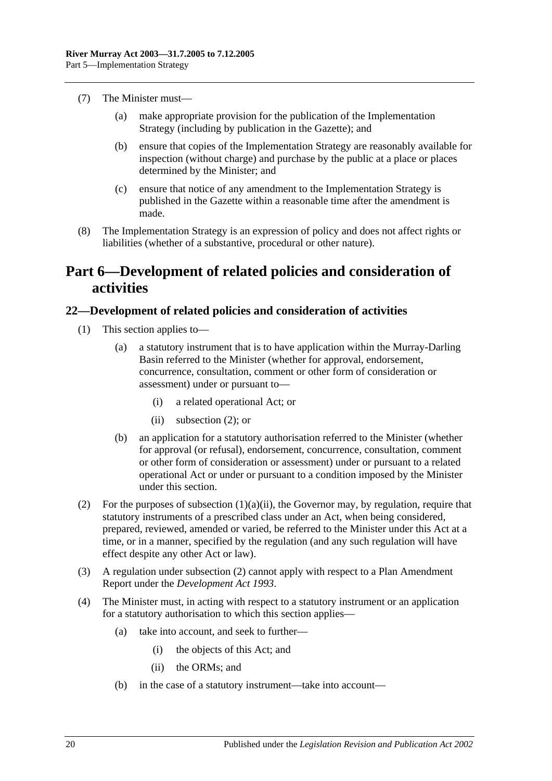- (7) The Minister must—
	- (a) make appropriate provision for the publication of the Implementation Strategy (including by publication in the Gazette); and
	- (b) ensure that copies of the Implementation Strategy are reasonably available for inspection (without charge) and purchase by the public at a place or places determined by the Minister; and
	- (c) ensure that notice of any amendment to the Implementation Strategy is published in the Gazette within a reasonable time after the amendment is made.
- (8) The Implementation Strategy is an expression of policy and does not affect rights or liabilities (whether of a substantive, procedural or other nature).

### <span id="page-19-0"></span>**Part 6—Development of related policies and consideration of activities**

### <span id="page-19-1"></span>**22—Development of related policies and consideration of activities**

- <span id="page-19-3"></span>(1) This section applies to—
	- (a) a statutory instrument that is to have application within the Murray-Darling Basin referred to the Minister (whether for approval, endorsement, concurrence, consultation, comment or other form of consideration or assessment) under or pursuant to—
		- (i) a related operational Act; or
		- (ii) [subsection](#page-19-2)  $(2)$ ; or
	- (b) an application for a statutory authorisation referred to the Minister (whether for approval (or refusal), endorsement, concurrence, consultation, comment or other form of consideration or assessment) under or pursuant to a related operational Act or under or pursuant to a condition imposed by the Minister under this section.
- <span id="page-19-2"></span>(2) For the purposes of [subsection](#page-19-3)  $(1)(a)(ii)$ , the Governor may, by regulation, require that statutory instruments of a prescribed class under an Act, when being considered, prepared, reviewed, amended or varied, be referred to the Minister under this Act at a time, or in a manner, specified by the regulation (and any such regulation will have effect despite any other Act or law).
- (3) A regulation under [subsection](#page-19-2) (2) cannot apply with respect to a Plan Amendment Report under the *[Development Act](http://www.legislation.sa.gov.au/index.aspx?action=legref&type=act&legtitle=Development%20Act%201993) 1993*.
- (4) The Minister must, in acting with respect to a statutory instrument or an application for a statutory authorisation to which this section applies—
	- (a) take into account, and seek to further—
		- (i) the objects of this Act; and
		- (ii) the ORMs; and
	- (b) in the case of a statutory instrument—take into account—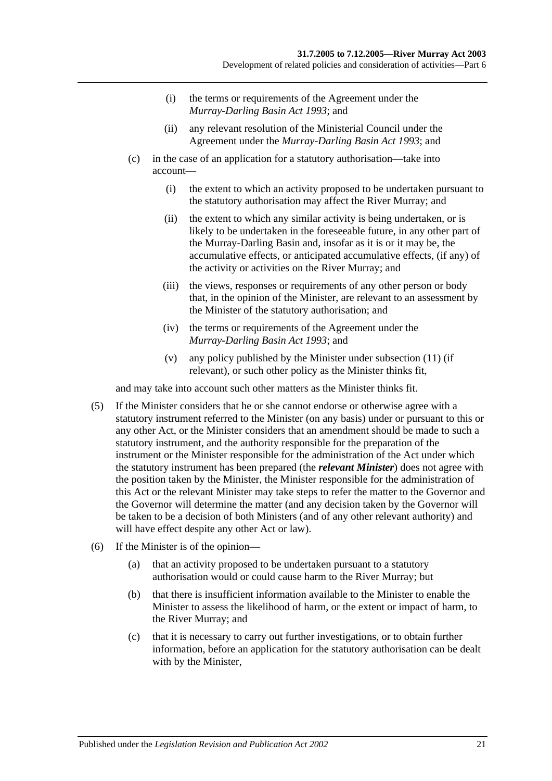- (i) the terms or requirements of the Agreement under the *[Murray-Darling Basin Act](http://www.legislation.sa.gov.au/index.aspx?action=legref&type=act&legtitle=Murray-Darling%20Basin%20Act%201993) 1993*; and
- (ii) any relevant resolution of the Ministerial Council under the Agreement under the *[Murray-Darling Basin Act](http://www.legislation.sa.gov.au/index.aspx?action=legref&type=act&legtitle=Murray-Darling%20Basin%20Act%201993) 1993*; and
- (c) in the case of an application for a statutory authorisation—take into account—
	- (i) the extent to which an activity proposed to be undertaken pursuant to the statutory authorisation may affect the River Murray; and
	- (ii) the extent to which any similar activity is being undertaken, or is likely to be undertaken in the foreseeable future, in any other part of the Murray-Darling Basin and, insofar as it is or it may be, the accumulative effects, or anticipated accumulative effects, (if any) of the activity or activities on the River Murray; and
	- (iii) the views, responses or requirements of any other person or body that, in the opinion of the Minister, are relevant to an assessment by the Minister of the statutory authorisation; and
	- (iv) the terms or requirements of the Agreement under the *[Murray-Darling Basin Act](http://www.legislation.sa.gov.au/index.aspx?action=legref&type=act&legtitle=Murray-Darling%20Basin%20Act%201993) 1993*; and
	- (v) any policy published by the Minister under [subsection](#page-22-0) (11) (if relevant), or such other policy as the Minister thinks fit,

and may take into account such other matters as the Minister thinks fit.

- (5) If the Minister considers that he or she cannot endorse or otherwise agree with a statutory instrument referred to the Minister (on any basis) under or pursuant to this or any other Act, or the Minister considers that an amendment should be made to such a statutory instrument, and the authority responsible for the preparation of the instrument or the Minister responsible for the administration of the Act under which the statutory instrument has been prepared (the *relevant Minister*) does not agree with the position taken by the Minister, the Minister responsible for the administration of this Act or the relevant Minister may take steps to refer the matter to the Governor and the Governor will determine the matter (and any decision taken by the Governor will be taken to be a decision of both Ministers (and of any other relevant authority) and will have effect despite any other Act or law).
- (6) If the Minister is of the opinion—
	- (a) that an activity proposed to be undertaken pursuant to a statutory authorisation would or could cause harm to the River Murray; but
	- (b) that there is insufficient information available to the Minister to enable the Minister to assess the likelihood of harm, or the extent or impact of harm, to the River Murray; and
	- (c) that it is necessary to carry out further investigations, or to obtain further information, before an application for the statutory authorisation can be dealt with by the Minister,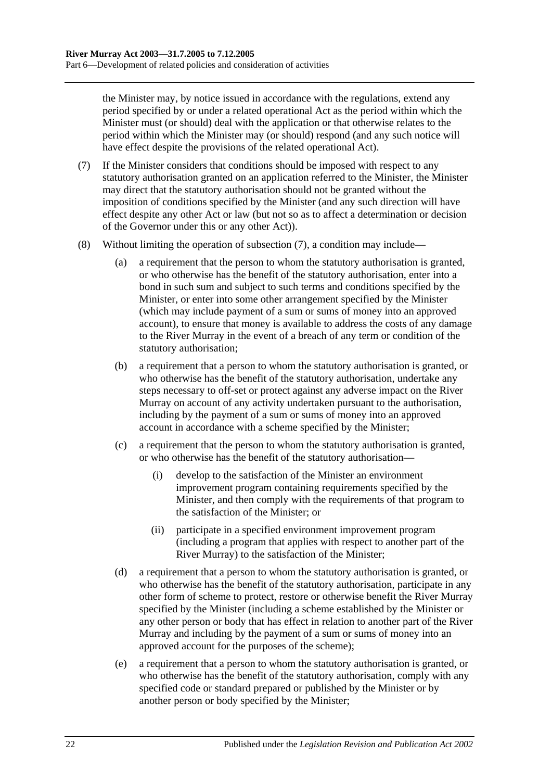the Minister may, by notice issued in accordance with the regulations, extend any period specified by or under a related operational Act as the period within which the Minister must (or should) deal with the application or that otherwise relates to the period within which the Minister may (or should) respond (and any such notice will have effect despite the provisions of the related operational Act).

- <span id="page-21-0"></span>(7) If the Minister considers that conditions should be imposed with respect to any statutory authorisation granted on an application referred to the Minister, the Minister may direct that the statutory authorisation should not be granted without the imposition of conditions specified by the Minister (and any such direction will have effect despite any other Act or law (but not so as to affect a determination or decision of the Governor under this or any other Act)).
- (8) Without limiting the operation of [subsection](#page-21-0) (7), a condition may include—
	- (a) a requirement that the person to whom the statutory authorisation is granted, or who otherwise has the benefit of the statutory authorisation, enter into a bond in such sum and subject to such terms and conditions specified by the Minister, or enter into some other arrangement specified by the Minister (which may include payment of a sum or sums of money into an approved account), to ensure that money is available to address the costs of any damage to the River Murray in the event of a breach of any term or condition of the statutory authorisation;
	- (b) a requirement that a person to whom the statutory authorisation is granted, or who otherwise has the benefit of the statutory authorisation, undertake any steps necessary to off-set or protect against any adverse impact on the River Murray on account of any activity undertaken pursuant to the authorisation, including by the payment of a sum or sums of money into an approved account in accordance with a scheme specified by the Minister;
	- (c) a requirement that the person to whom the statutory authorisation is granted, or who otherwise has the benefit of the statutory authorisation—
		- (i) develop to the satisfaction of the Minister an environment improvement program containing requirements specified by the Minister, and then comply with the requirements of that program to the satisfaction of the Minister; or
		- (ii) participate in a specified environment improvement program (including a program that applies with respect to another part of the River Murray) to the satisfaction of the Minister;
	- (d) a requirement that a person to whom the statutory authorisation is granted, or who otherwise has the benefit of the statutory authorisation, participate in any other form of scheme to protect, restore or otherwise benefit the River Murray specified by the Minister (including a scheme established by the Minister or any other person or body that has effect in relation to another part of the River Murray and including by the payment of a sum or sums of money into an approved account for the purposes of the scheme);
	- (e) a requirement that a person to whom the statutory authorisation is granted, or who otherwise has the benefit of the statutory authorisation, comply with any specified code or standard prepared or published by the Minister or by another person or body specified by the Minister;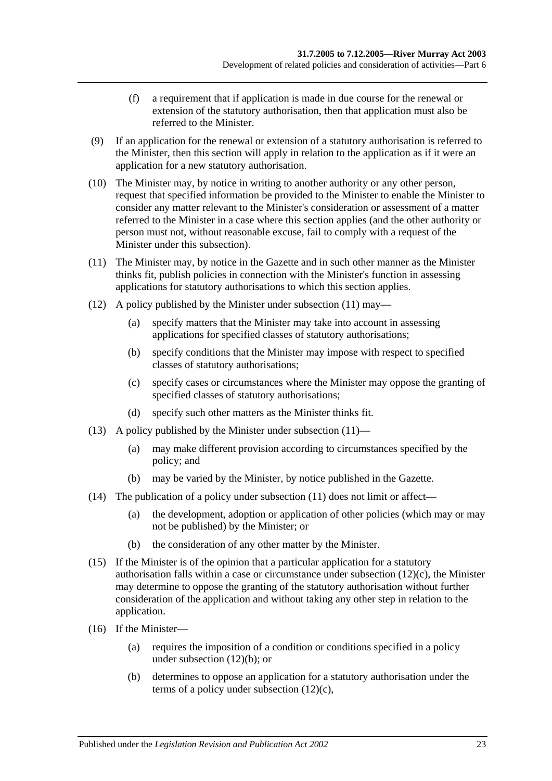- (f) a requirement that if application is made in due course for the renewal or extension of the statutory authorisation, then that application must also be referred to the Minister.
- (9) If an application for the renewal or extension of a statutory authorisation is referred to the Minister, then this section will apply in relation to the application as if it were an application for a new statutory authorisation.
- (10) The Minister may, by notice in writing to another authority or any other person, request that specified information be provided to the Minister to enable the Minister to consider any matter relevant to the Minister's consideration or assessment of a matter referred to the Minister in a case where this section applies (and the other authority or person must not, without reasonable excuse, fail to comply with a request of the Minister under this subsection).
- <span id="page-22-0"></span>(11) The Minister may, by notice in the Gazette and in such other manner as the Minister thinks fit, publish policies in connection with the Minister's function in assessing applications for statutory authorisations to which this section applies.
- <span id="page-22-2"></span>(12) A policy published by the Minister under [subsection](#page-22-0) (11) may—
	- (a) specify matters that the Minister may take into account in assessing applications for specified classes of statutory authorisations;
	- (b) specify conditions that the Minister may impose with respect to specified classes of statutory authorisations;
	- (c) specify cases or circumstances where the Minister may oppose the granting of specified classes of statutory authorisations;
	- (d) specify such other matters as the Minister thinks fit.
- <span id="page-22-1"></span>(13) A policy published by the Minister under [subsection](#page-22-0) (11)—
	- (a) may make different provision according to circumstances specified by the policy; and
	- (b) may be varied by the Minister, by notice published in the Gazette.
- (14) The publication of a policy under [subsection](#page-22-0) (11) does not limit or affect—
	- (a) the development, adoption or application of other policies (which may or may not be published) by the Minister; or
	- (b) the consideration of any other matter by the Minister.
- (15) If the Minister is of the opinion that a particular application for a statutory authorisation falls within a case or circumstance under [subsection](#page-22-1) (12)(c), the Minister may determine to oppose the granting of the statutory authorisation without further consideration of the application and without taking any other step in relation to the application.
- (16) If the Minister—
	- (a) requires the imposition of a condition or conditions specified in a policy under [subsection](#page-22-2) (12)(b); or
	- (b) determines to oppose an application for a statutory authorisation under the terms of a policy under [subsection](#page-22-1) (12)(c),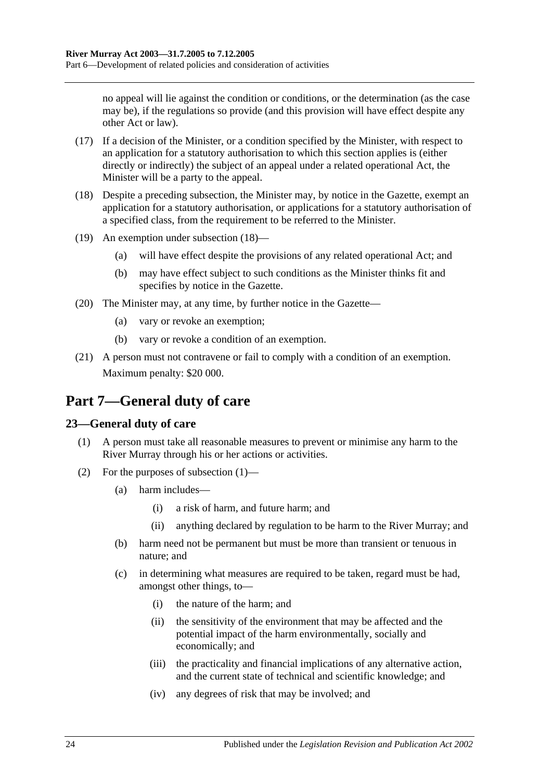no appeal will lie against the condition or conditions, or the determination (as the case may be), if the regulations so provide (and this provision will have effect despite any other Act or law).

- (17) If a decision of the Minister, or a condition specified by the Minister, with respect to an application for a statutory authorisation to which this section applies is (either directly or indirectly) the subject of an appeal under a related operational Act, the Minister will be a party to the appeal.
- <span id="page-23-2"></span>(18) Despite a preceding subsection, the Minister may, by notice in the Gazette, exempt an application for a statutory authorisation, or applications for a statutory authorisation of a specified class, from the requirement to be referred to the Minister.
- (19) An exemption under [subsection](#page-23-2) (18)—
	- (a) will have effect despite the provisions of any related operational Act; and
	- (b) may have effect subject to such conditions as the Minister thinks fit and specifies by notice in the Gazette.
- (20) The Minister may, at any time, by further notice in the Gazette—
	- (a) vary or revoke an exemption;
	- (b) vary or revoke a condition of an exemption.
- (21) A person must not contravene or fail to comply with a condition of an exemption. Maximum penalty: \$20 000.

## <span id="page-23-0"></span>**Part 7—General duty of care**

### <span id="page-23-3"></span><span id="page-23-1"></span>**23—General duty of care**

- (1) A person must take all reasonable measures to prevent or minimise any harm to the River Murray through his or her actions or activities.
- (2) For the purposes of [subsection](#page-23-3) (1)—
	- (a) harm includes—
		- (i) a risk of harm, and future harm; and
		- (ii) anything declared by regulation to be harm to the River Murray; and
	- (b) harm need not be permanent but must be more than transient or tenuous in nature; and
	- (c) in determining what measures are required to be taken, regard must be had, amongst other things, to—
		- (i) the nature of the harm; and
		- (ii) the sensitivity of the environment that may be affected and the potential impact of the harm environmentally, socially and economically; and
		- (iii) the practicality and financial implications of any alternative action, and the current state of technical and scientific knowledge; and
		- (iv) any degrees of risk that may be involved; and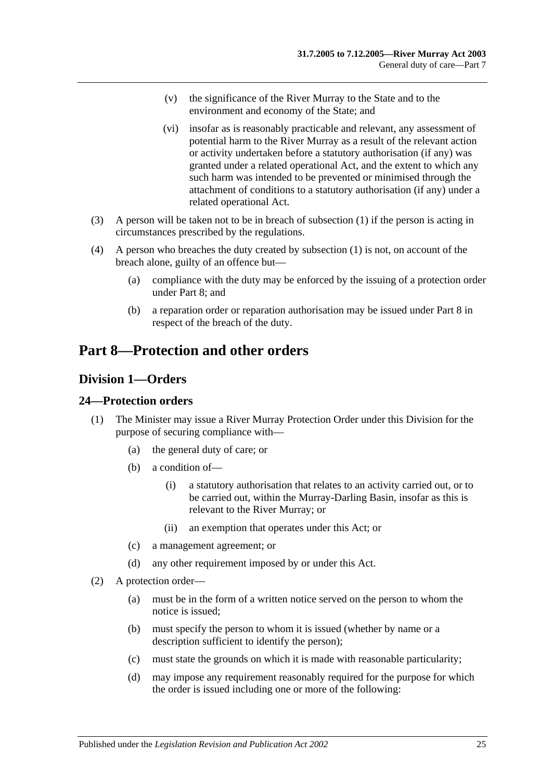- (v) the significance of the River Murray to the State and to the environment and economy of the State; and
- (vi) insofar as is reasonably practicable and relevant, any assessment of potential harm to the River Murray as a result of the relevant action or activity undertaken before a statutory authorisation (if any) was granted under a related operational Act, and the extent to which any such harm was intended to be prevented or minimised through the attachment of conditions to a statutory authorisation (if any) under a related operational Act.
- (3) A person will be taken not to be in breach of [subsection](#page-23-3) (1) if the person is acting in circumstances prescribed by the regulations.
- (4) A person who breaches the duty created by [subsection](#page-23-3) (1) is not, on account of the breach alone, guilty of an offence but—
	- (a) compliance with the duty may be enforced by the issuing of a protection order under [Part 8;](#page-24-0) and
	- (b) a reparation order or reparation authorisation may be issued under [Part 8](#page-24-0) in respect of the breach of the duty.

## <span id="page-24-0"></span>**Part 8—Protection and other orders**

### <span id="page-24-1"></span>**Division 1—Orders**

### <span id="page-24-2"></span>**24—Protection orders**

- (1) The Minister may issue a River Murray Protection Order under this Division for the purpose of securing compliance with—
	- (a) the general duty of care; or
	- (b) a condition of—
		- (i) a statutory authorisation that relates to an activity carried out, or to be carried out, within the Murray-Darling Basin, insofar as this is relevant to the River Murray; or
		- (ii) an exemption that operates under this Act; or
	- (c) a management agreement; or
	- (d) any other requirement imposed by or under this Act.
- <span id="page-24-3"></span>(2) A protection order—
	- (a) must be in the form of a written notice served on the person to whom the notice is issued;
	- (b) must specify the person to whom it is issued (whether by name or a description sufficient to identify the person);
	- (c) must state the grounds on which it is made with reasonable particularity;
	- (d) may impose any requirement reasonably required for the purpose for which the order is issued including one or more of the following: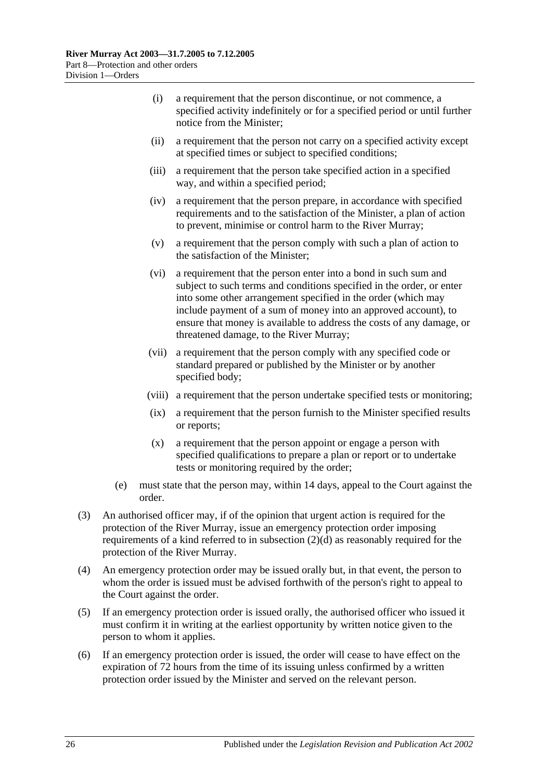- (i) a requirement that the person discontinue, or not commence, a specified activity indefinitely or for a specified period or until further notice from the Minister;
- (ii) a requirement that the person not carry on a specified activity except at specified times or subject to specified conditions;
- (iii) a requirement that the person take specified action in a specified way, and within a specified period;
- (iv) a requirement that the person prepare, in accordance with specified requirements and to the satisfaction of the Minister, a plan of action to prevent, minimise or control harm to the River Murray;
- (v) a requirement that the person comply with such a plan of action to the satisfaction of the Minister;
- (vi) a requirement that the person enter into a bond in such sum and subject to such terms and conditions specified in the order, or enter into some other arrangement specified in the order (which may include payment of a sum of money into an approved account), to ensure that money is available to address the costs of any damage, or threatened damage, to the River Murray;
- (vii) a requirement that the person comply with any specified code or standard prepared or published by the Minister or by another specified body;
- (viii) a requirement that the person undertake specified tests or monitoring;
- (ix) a requirement that the person furnish to the Minister specified results or reports;
- (x) a requirement that the person appoint or engage a person with specified qualifications to prepare a plan or report or to undertake tests or monitoring required by the order;
- (e) must state that the person may, within 14 days, appeal to the Court against the order.
- (3) An authorised officer may, if of the opinion that urgent action is required for the protection of the River Murray, issue an emergency protection order imposing requirements of a kind referred to in [subsection](#page-24-3) (2)(d) as reasonably required for the protection of the River Murray.
- (4) An emergency protection order may be issued orally but, in that event, the person to whom the order is issued must be advised forthwith of the person's right to appeal to the Court against the order.
- (5) If an emergency protection order is issued orally, the authorised officer who issued it must confirm it in writing at the earliest opportunity by written notice given to the person to whom it applies.
- (6) If an emergency protection order is issued, the order will cease to have effect on the expiration of 72 hours from the time of its issuing unless confirmed by a written protection order issued by the Minister and served on the relevant person.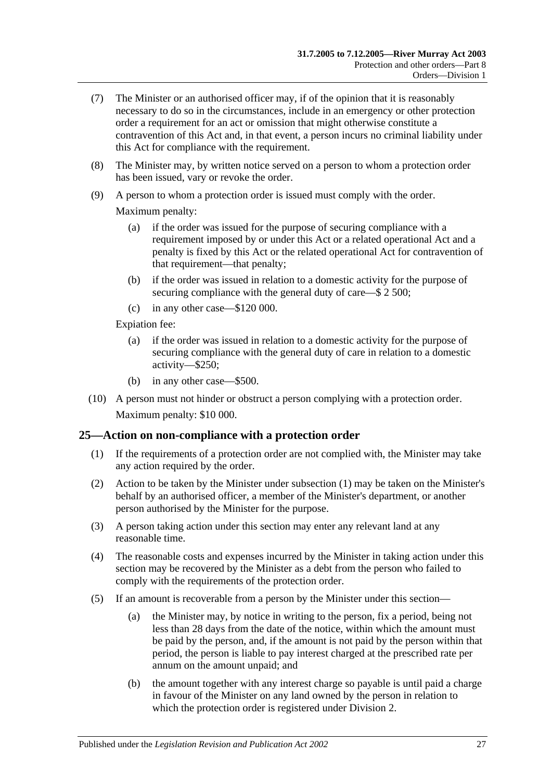- (7) The Minister or an authorised officer may, if of the opinion that it is reasonably necessary to do so in the circumstances, include in an emergency or other protection order a requirement for an act or omission that might otherwise constitute a contravention of this Act and, in that event, a person incurs no criminal liability under this Act for compliance with the requirement.
- (8) The Minister may, by written notice served on a person to whom a protection order has been issued, vary or revoke the order.
- (9) A person to whom a protection order is issued must comply with the order.

Maximum penalty:

- (a) if the order was issued for the purpose of securing compliance with a requirement imposed by or under this Act or a related operational Act and a penalty is fixed by this Act or the related operational Act for contravention of that requirement—that penalty;
- (b) if the order was issued in relation to a domestic activity for the purpose of securing compliance with the general duty of care—\$ 2 500;
- (c) in any other case—\$120 000.

Expiation fee:

- (a) if the order was issued in relation to a domestic activity for the purpose of securing compliance with the general duty of care in relation to a domestic activity—\$250;
- (b) in any other case—\$500.
- (10) A person must not hinder or obstruct a person complying with a protection order. Maximum penalty: \$10 000.

### <span id="page-26-1"></span><span id="page-26-0"></span>**25—Action on non-compliance with a protection order**

- (1) If the requirements of a protection order are not complied with, the Minister may take any action required by the order.
- (2) Action to be taken by the Minister under [subsection](#page-26-1) (1) may be taken on the Minister's behalf by an authorised officer, a member of the Minister's department, or another person authorised by the Minister for the purpose.
- (3) A person taking action under this section may enter any relevant land at any reasonable time.
- (4) The reasonable costs and expenses incurred by the Minister in taking action under this section may be recovered by the Minister as a debt from the person who failed to comply with the requirements of the protection order.
- (5) If an amount is recoverable from a person by the Minister under this section—
	- (a) the Minister may, by notice in writing to the person, fix a period, being not less than 28 days from the date of the notice, within which the amount must be paid by the person, and, if the amount is not paid by the person within that period, the person is liable to pay interest charged at the prescribed rate per annum on the amount unpaid; and
	- (b) the amount together with any interest charge so payable is until paid a charge in favour of the Minister on any land owned by the person in relation to which the protection order is registered under [Division 2.](#page-31-0)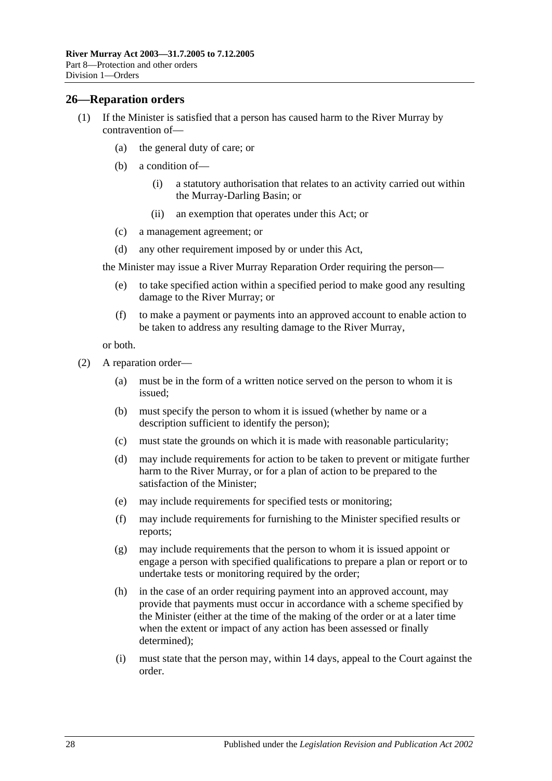### <span id="page-27-0"></span>**26—Reparation orders**

- (1) If the Minister is satisfied that a person has caused harm to the River Murray by contravention of—
	- (a) the general duty of care; or
	- (b) a condition of—
		- (i) a statutory authorisation that relates to an activity carried out within the Murray-Darling Basin; or
		- (ii) an exemption that operates under this Act; or
	- (c) a management agreement; or
	- (d) any other requirement imposed by or under this Act,

the Minister may issue a River Murray Reparation Order requiring the person—

- (e) to take specified action within a specified period to make good any resulting damage to the River Murray; or
- (f) to make a payment or payments into an approved account to enable action to be taken to address any resulting damage to the River Murray,

or both.

- <span id="page-27-1"></span>(2) A reparation order—
	- (a) must be in the form of a written notice served on the person to whom it is issued;
	- (b) must specify the person to whom it is issued (whether by name or a description sufficient to identify the person);
	- (c) must state the grounds on which it is made with reasonable particularity;
	- (d) may include requirements for action to be taken to prevent or mitigate further harm to the River Murray, or for a plan of action to be prepared to the satisfaction of the Minister;
	- (e) may include requirements for specified tests or monitoring;
	- (f) may include requirements for furnishing to the Minister specified results or reports;
	- (g) may include requirements that the person to whom it is issued appoint or engage a person with specified qualifications to prepare a plan or report or to undertake tests or monitoring required by the order;
	- (h) in the case of an order requiring payment into an approved account, may provide that payments must occur in accordance with a scheme specified by the Minister (either at the time of the making of the order or at a later time when the extent or impact of any action has been assessed or finally determined);
	- (i) must state that the person may, within 14 days, appeal to the Court against the order.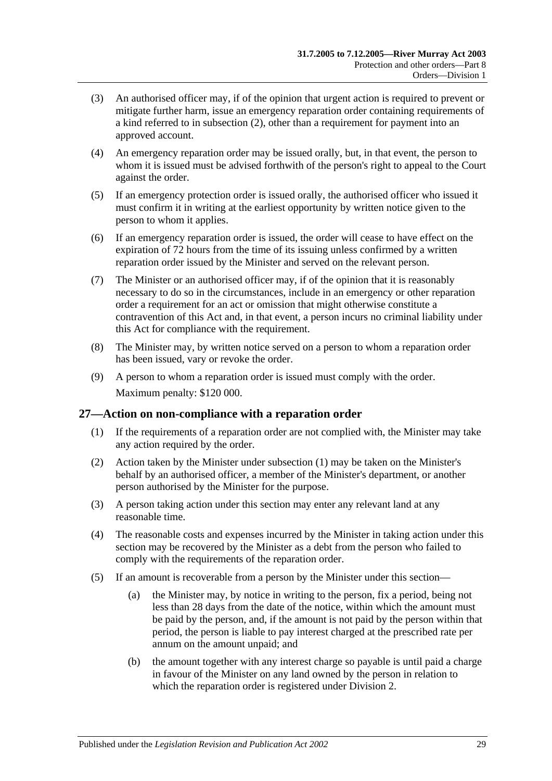- (3) An authorised officer may, if of the opinion that urgent action is required to prevent or mitigate further harm, issue an emergency reparation order containing requirements of a kind referred to in [subsection](#page-27-1) (2), other than a requirement for payment into an approved account.
- (4) An emergency reparation order may be issued orally, but, in that event, the person to whom it is issued must be advised forthwith of the person's right to appeal to the Court against the order.
- (5) If an emergency protection order is issued orally, the authorised officer who issued it must confirm it in writing at the earliest opportunity by written notice given to the person to whom it applies.
- (6) If an emergency reparation order is issued, the order will cease to have effect on the expiration of 72 hours from the time of its issuing unless confirmed by a written reparation order issued by the Minister and served on the relevant person.
- (7) The Minister or an authorised officer may, if of the opinion that it is reasonably necessary to do so in the circumstances, include in an emergency or other reparation order a requirement for an act or omission that might otherwise constitute a contravention of this Act and, in that event, a person incurs no criminal liability under this Act for compliance with the requirement.
- (8) The Minister may, by written notice served on a person to whom a reparation order has been issued, vary or revoke the order.
- (9) A person to whom a reparation order is issued must comply with the order. Maximum penalty: \$120 000.

### <span id="page-28-1"></span><span id="page-28-0"></span>**27—Action on non-compliance with a reparation order**

- (1) If the requirements of a reparation order are not complied with, the Minister may take any action required by the order.
- (2) Action taken by the Minister under [subsection](#page-28-1) (1) may be taken on the Minister's behalf by an authorised officer, a member of the Minister's department, or another person authorised by the Minister for the purpose.
- (3) A person taking action under this section may enter any relevant land at any reasonable time.
- (4) The reasonable costs and expenses incurred by the Minister in taking action under this section may be recovered by the Minister as a debt from the person who failed to comply with the requirements of the reparation order.
- (5) If an amount is recoverable from a person by the Minister under this section—
	- (a) the Minister may, by notice in writing to the person, fix a period, being not less than 28 days from the date of the notice, within which the amount must be paid by the person, and, if the amount is not paid by the person within that period, the person is liable to pay interest charged at the prescribed rate per annum on the amount unpaid; and
	- (b) the amount together with any interest charge so payable is until paid a charge in favour of the Minister on any land owned by the person in relation to which the reparation order is registered under [Division 2.](#page-31-0)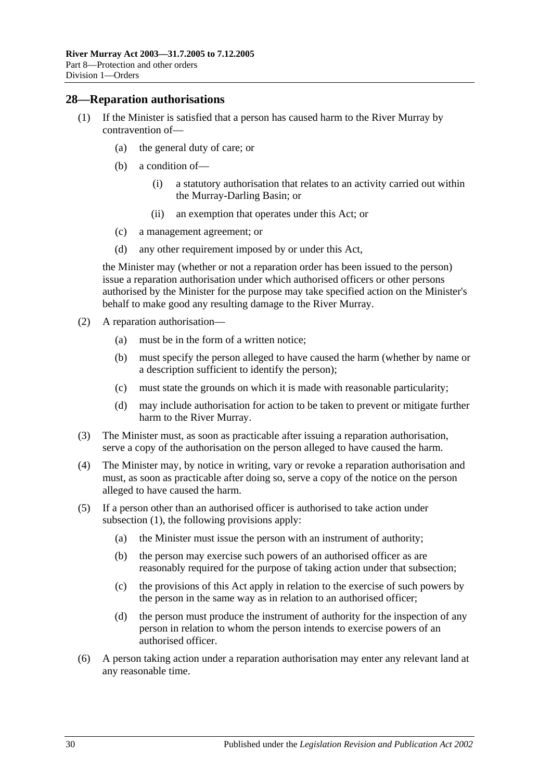### <span id="page-29-1"></span><span id="page-29-0"></span>**28—Reparation authorisations**

- (1) If the Minister is satisfied that a person has caused harm to the River Murray by contravention of—
	- (a) the general duty of care; or
	- (b) a condition of—
		- (i) a statutory authorisation that relates to an activity carried out within the Murray-Darling Basin; or
		- (ii) an exemption that operates under this Act; or
	- (c) a management agreement; or
	- (d) any other requirement imposed by or under this Act,

the Minister may (whether or not a reparation order has been issued to the person) issue a reparation authorisation under which authorised officers or other persons authorised by the Minister for the purpose may take specified action on the Minister's behalf to make good any resulting damage to the River Murray.

- (2) A reparation authorisation—
	- (a) must be in the form of a written notice;
	- (b) must specify the person alleged to have caused the harm (whether by name or a description sufficient to identify the person);
	- (c) must state the grounds on which it is made with reasonable particularity;
	- (d) may include authorisation for action to be taken to prevent or mitigate further harm to the River Murray.
- (3) The Minister must, as soon as practicable after issuing a reparation authorisation, serve a copy of the authorisation on the person alleged to have caused the harm.
- (4) The Minister may, by notice in writing, vary or revoke a reparation authorisation and must, as soon as practicable after doing so, serve a copy of the notice on the person alleged to have caused the harm.
- (5) If a person other than an authorised officer is authorised to take action under [subsection](#page-29-1) (1), the following provisions apply:
	- (a) the Minister must issue the person with an instrument of authority;
	- (b) the person may exercise such powers of an authorised officer as are reasonably required for the purpose of taking action under that subsection;
	- (c) the provisions of this Act apply in relation to the exercise of such powers by the person in the same way as in relation to an authorised officer;
	- (d) the person must produce the instrument of authority for the inspection of any person in relation to whom the person intends to exercise powers of an authorised officer.
- (6) A person taking action under a reparation authorisation may enter any relevant land at any reasonable time.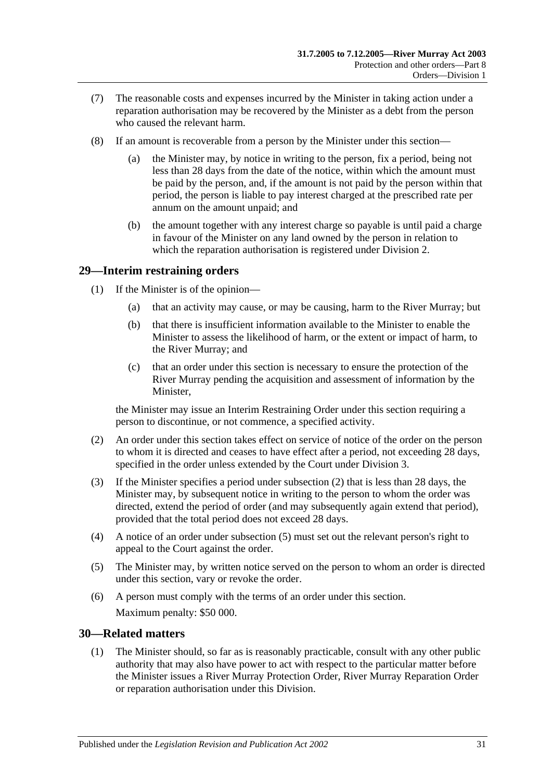- (7) The reasonable costs and expenses incurred by the Minister in taking action under a reparation authorisation may be recovered by the Minister as a debt from the person who caused the relevant harm.
- (8) If an amount is recoverable from a person by the Minister under this section—
	- (a) the Minister may, by notice in writing to the person, fix a period, being not less than 28 days from the date of the notice, within which the amount must be paid by the person, and, if the amount is not paid by the person within that period, the person is liable to pay interest charged at the prescribed rate per annum on the amount unpaid; and
	- (b) the amount together with any interest charge so payable is until paid a charge in favour of the Minister on any land owned by the person in relation to which the reparation authorisation is registered under [Division 2.](#page-31-0)

### <span id="page-30-0"></span>**29—Interim restraining orders**

- (1) If the Minister is of the opinion—
	- (a) that an activity may cause, or may be causing, harm to the River Murray; but
	- (b) that there is insufficient information available to the Minister to enable the Minister to assess the likelihood of harm, or the extent or impact of harm, to the River Murray; and
	- (c) that an order under this section is necessary to ensure the protection of the River Murray pending the acquisition and assessment of information by the Minister,

the Minister may issue an Interim Restraining Order under this section requiring a person to discontinue, or not commence, a specified activity.

- <span id="page-30-2"></span>(2) An order under this section takes effect on service of notice of the order on the person to whom it is directed and ceases to have effect after a period, not exceeding 28 days, specified in the order unless extended by the Court under [Division 3.](#page-32-1)
- (3) If the Minister specifies a period under [subsection](#page-30-2) (2) that is less than 28 days, the Minister may, by subsequent notice in writing to the person to whom the order was directed, extend the period of order (and may subsequently again extend that period), provided that the total period does not exceed 28 days.
- (4) A notice of an order under [subsection](#page-30-3) (5) must set out the relevant person's right to appeal to the Court against the order.
- <span id="page-30-3"></span>(5) The Minister may, by written notice served on the person to whom an order is directed under this section, vary or revoke the order.
- (6) A person must comply with the terms of an order under this section. Maximum penalty: \$50 000.

### <span id="page-30-4"></span><span id="page-30-1"></span>**30—Related matters**

(1) The Minister should, so far as is reasonably practicable, consult with any other public authority that may also have power to act with respect to the particular matter before the Minister issues a River Murray Protection Order, River Murray Reparation Order or reparation authorisation under this Division.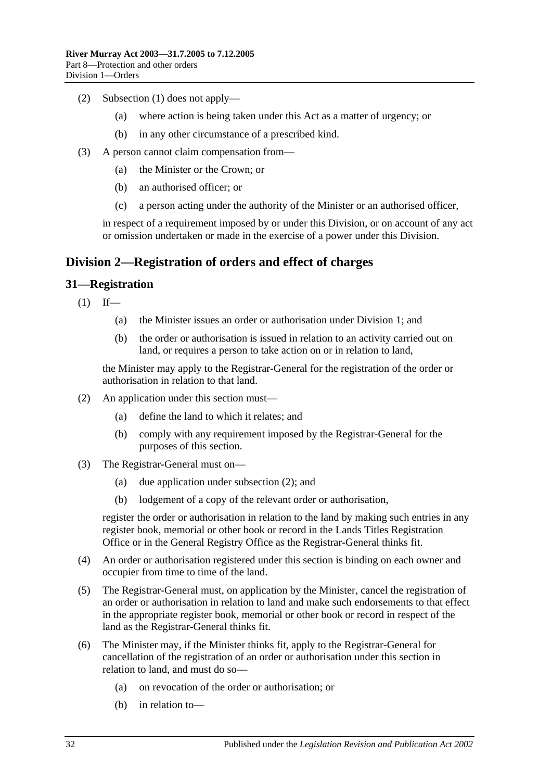- (2) [Subsection](#page-30-4) (1) does not apply—
	- (a) where action is being taken under this Act as a matter of urgency; or
	- (b) in any other circumstance of a prescribed kind.
- (3) A person cannot claim compensation from—
	- (a) the Minister or the Crown; or
	- (b) an authorised officer; or
	- (c) a person acting under the authority of the Minister or an authorised officer,

in respect of a requirement imposed by or under this Division, or on account of any act or omission undertaken or made in the exercise of a power under this Division.

### <span id="page-31-0"></span>**Division 2—Registration of orders and effect of charges**

### <span id="page-31-1"></span>**31—Registration**

 $(1)$  If—

- (a) the Minister issues an order or authorisation under [Division 1;](#page-24-1) and
- (b) the order or authorisation is issued in relation to an activity carried out on land, or requires a person to take action on or in relation to land,

the Minister may apply to the Registrar-General for the registration of the order or authorisation in relation to that land.

- <span id="page-31-2"></span>(2) An application under this section must—
	- (a) define the land to which it relates; and
	- (b) comply with any requirement imposed by the Registrar-General for the purposes of this section.
- (3) The Registrar-General must on—
	- (a) due application under [subsection](#page-31-2) (2); and
	- (b) lodgement of a copy of the relevant order or authorisation,

register the order or authorisation in relation to the land by making such entries in any register book, memorial or other book or record in the Lands Titles Registration Office or in the General Registry Office as the Registrar-General thinks fit.

- (4) An order or authorisation registered under this section is binding on each owner and occupier from time to time of the land.
- (5) The Registrar-General must, on application by the Minister, cancel the registration of an order or authorisation in relation to land and make such endorsements to that effect in the appropriate register book, memorial or other book or record in respect of the land as the Registrar-General thinks fit.
- (6) The Minister may, if the Minister thinks fit, apply to the Registrar-General for cancellation of the registration of an order or authorisation under this section in relation to land, and must do so—
	- (a) on revocation of the order or authorisation; or
	- (b) in relation to—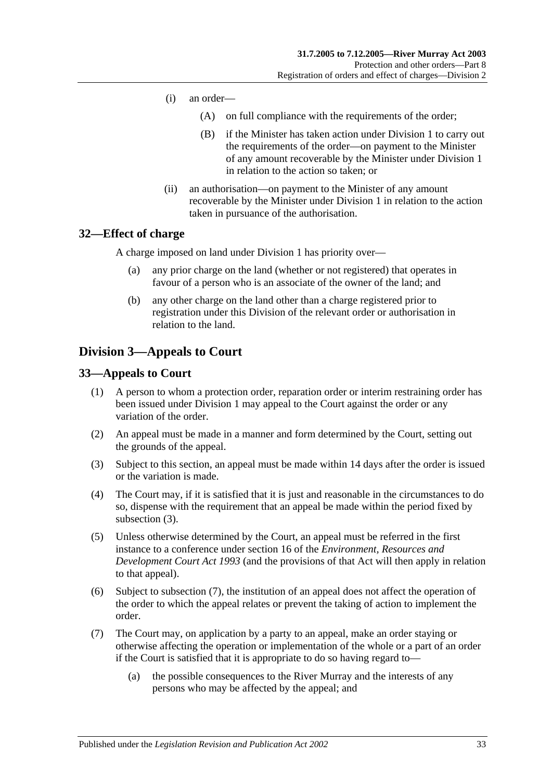- (i) an order—
	- (A) on full compliance with the requirements of the order;
	- (B) if the Minister has taken action under [Division 1](#page-24-1) to carry out the requirements of the order—on payment to the Minister of any amount recoverable by the Minister under [Division 1](#page-24-1) in relation to the action so taken; or
- (ii) an authorisation—on payment to the Minister of any amount recoverable by the Minister under [Division 1](#page-24-1) in relation to the action taken in pursuance of the authorisation.

### <span id="page-32-0"></span>**32—Effect of charge**

A charge imposed on land under [Division 1](#page-24-1) has priority over—

- (a) any prior charge on the land (whether or not registered) that operates in favour of a person who is an associate of the owner of the land; and
- (b) any other charge on the land other than a charge registered prior to registration under this Division of the relevant order or authorisation in relation to the land.

### <span id="page-32-1"></span>**Division 3—Appeals to Court**

### <span id="page-32-2"></span>**33—Appeals to Court**

- (1) A person to whom a protection order, reparation order or interim restraining order has been issued under [Division 1](#page-24-1) may appeal to the Court against the order or any variation of the order.
- (2) An appeal must be made in a manner and form determined by the Court, setting out the grounds of the appeal.
- <span id="page-32-3"></span>(3) Subject to this section, an appeal must be made within 14 days after the order is issued or the variation is made.
- (4) The Court may, if it is satisfied that it is just and reasonable in the circumstances to do so, dispense with the requirement that an appeal be made within the period fixed by [subsection](#page-32-3) (3).
- (5) Unless otherwise determined by the Court, an appeal must be referred in the first instance to a conference under section 16 of the *[Environment, Resources and](http://www.legislation.sa.gov.au/index.aspx?action=legref&type=act&legtitle=Environment%20Resources%20and%20Development%20Court%20Act%201993)  [Development Court Act](http://www.legislation.sa.gov.au/index.aspx?action=legref&type=act&legtitle=Environment%20Resources%20and%20Development%20Court%20Act%201993) 1993* (and the provisions of that Act will then apply in relation to that appeal).
- (6) Subject to [subsection](#page-32-4) (7), the institution of an appeal does not affect the operation of the order to which the appeal relates or prevent the taking of action to implement the order.
- <span id="page-32-4"></span>(7) The Court may, on application by a party to an appeal, make an order staying or otherwise affecting the operation or implementation of the whole or a part of an order if the Court is satisfied that it is appropriate to do so having regard to—
	- (a) the possible consequences to the River Murray and the interests of any persons who may be affected by the appeal; and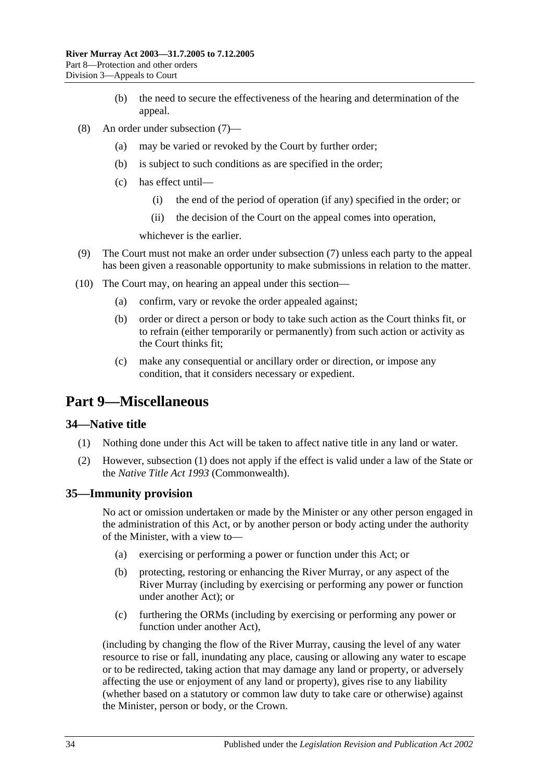- (b) the need to secure the effectiveness of the hearing and determination of the appeal.
- (8) An order under [subsection](#page-32-4) (7)—
	- (a) may be varied or revoked by the Court by further order;
	- (b) is subject to such conditions as are specified in the order;
	- (c) has effect until—
		- (i) the end of the period of operation (if any) specified in the order; or
		- (ii) the decision of the Court on the appeal comes into operation,

whichever is the earlier.

- (9) The Court must not make an order under [subsection](#page-32-4) (7) unless each party to the appeal has been given a reasonable opportunity to make submissions in relation to the matter.
- (10) The Court may, on hearing an appeal under this section—
	- (a) confirm, vary or revoke the order appealed against;
	- (b) order or direct a person or body to take such action as the Court thinks fit, or to refrain (either temporarily or permanently) from such action or activity as the Court thinks fit;
	- (c) make any consequential or ancillary order or direction, or impose any condition, that it considers necessary or expedient.

### <span id="page-33-0"></span>**Part 9—Miscellaneous**

#### <span id="page-33-3"></span><span id="page-33-1"></span>**34—Native title**

- (1) Nothing done under this Act will be taken to affect native title in any land or water.
- (2) However, [subsection](#page-33-3) (1) does not apply if the effect is valid under a law of the State or the *Native Title Act 1993* (Commonwealth).

#### <span id="page-33-2"></span>**35—Immunity provision**

No act or omission undertaken or made by the Minister or any other person engaged in the administration of this Act, or by another person or body acting under the authority of the Minister, with a view to—

- (a) exercising or performing a power or function under this Act; or
- (b) protecting, restoring or enhancing the River Murray, or any aspect of the River Murray (including by exercising or performing any power or function under another Act); or
- (c) furthering the ORMs (including by exercising or performing any power or function under another Act),

(including by changing the flow of the River Murray, causing the level of any water resource to rise or fall, inundating any place, causing or allowing any water to escape or to be redirected, taking action that may damage any land or property, or adversely affecting the use or enjoyment of any land or property), gives rise to any liability (whether based on a statutory or common law duty to take care or otherwise) against the Minister, person or body, or the Crown.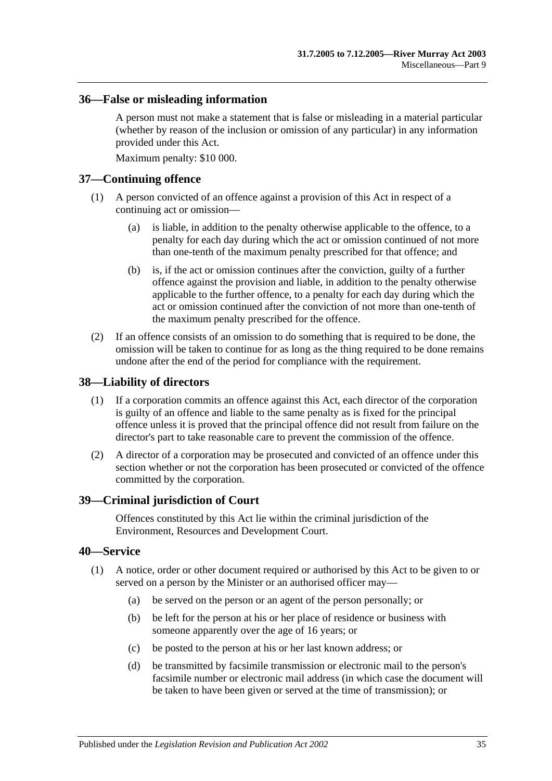### <span id="page-34-0"></span>**36—False or misleading information**

A person must not make a statement that is false or misleading in a material particular (whether by reason of the inclusion or omission of any particular) in any information provided under this Act.

Maximum penalty: \$10 000.

### <span id="page-34-1"></span>**37—Continuing offence**

- (1) A person convicted of an offence against a provision of this Act in respect of a continuing act or omission—
	- (a) is liable, in addition to the penalty otherwise applicable to the offence, to a penalty for each day during which the act or omission continued of not more than one-tenth of the maximum penalty prescribed for that offence; and
	- (b) is, if the act or omission continues after the conviction, guilty of a further offence against the provision and liable, in addition to the penalty otherwise applicable to the further offence, to a penalty for each day during which the act or omission continued after the conviction of not more than one-tenth of the maximum penalty prescribed for the offence.
- (2) If an offence consists of an omission to do something that is required to be done, the omission will be taken to continue for as long as the thing required to be done remains undone after the end of the period for compliance with the requirement.

### <span id="page-34-2"></span>**38—Liability of directors**

- (1) If a corporation commits an offence against this Act, each director of the corporation is guilty of an offence and liable to the same penalty as is fixed for the principal offence unless it is proved that the principal offence did not result from failure on the director's part to take reasonable care to prevent the commission of the offence.
- (2) A director of a corporation may be prosecuted and convicted of an offence under this section whether or not the corporation has been prosecuted or convicted of the offence committed by the corporation.

#### <span id="page-34-3"></span>**39—Criminal jurisdiction of Court**

Offences constituted by this Act lie within the criminal jurisdiction of the Environment, Resources and Development Court.

### <span id="page-34-5"></span><span id="page-34-4"></span>**40—Service**

- (1) A notice, order or other document required or authorised by this Act to be given to or served on a person by the Minister or an authorised officer may—
	- (a) be served on the person or an agent of the person personally; or
	- (b) be left for the person at his or her place of residence or business with someone apparently over the age of 16 years; or
	- (c) be posted to the person at his or her last known address; or
	- (d) be transmitted by facsimile transmission or electronic mail to the person's facsimile number or electronic mail address (in which case the document will be taken to have been given or served at the time of transmission); or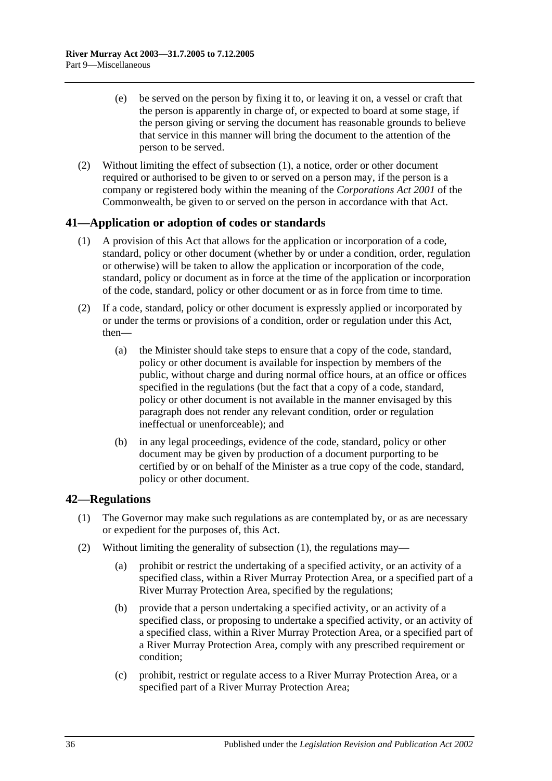- (e) be served on the person by fixing it to, or leaving it on, a vessel or craft that the person is apparently in charge of, or expected to board at some stage, if the person giving or serving the document has reasonable grounds to believe that service in this manner will bring the document to the attention of the person to be served.
- (2) Without limiting the effect of [subsection](#page-34-5) (1), a notice, order or other document required or authorised to be given to or served on a person may, if the person is a company or registered body within the meaning of the *Corporations Act 2001* of the Commonwealth, be given to or served on the person in accordance with that Act.

### <span id="page-35-0"></span>**41—Application or adoption of codes or standards**

- (1) A provision of this Act that allows for the application or incorporation of a code, standard, policy or other document (whether by or under a condition, order, regulation or otherwise) will be taken to allow the application or incorporation of the code, standard, policy or document as in force at the time of the application or incorporation of the code, standard, policy or other document or as in force from time to time.
- (2) If a code, standard, policy or other document is expressly applied or incorporated by or under the terms or provisions of a condition, order or regulation under this Act, then—
	- (a) the Minister should take steps to ensure that a copy of the code, standard, policy or other document is available for inspection by members of the public, without charge and during normal office hours, at an office or offices specified in the regulations (but the fact that a copy of a code, standard, policy or other document is not available in the manner envisaged by this paragraph does not render any relevant condition, order or regulation ineffectual or unenforceable); and
	- (b) in any legal proceedings, evidence of the code, standard, policy or other document may be given by production of a document purporting to be certified by or on behalf of the Minister as a true copy of the code, standard, policy or other document.

### <span id="page-35-2"></span><span id="page-35-1"></span>**42—Regulations**

- (1) The Governor may make such regulations as are contemplated by, or as are necessary or expedient for the purposes of, this Act.
- <span id="page-35-6"></span><span id="page-35-5"></span><span id="page-35-4"></span><span id="page-35-3"></span>(2) Without limiting the generality of [subsection](#page-35-2) (1), the regulations may—
	- (a) prohibit or restrict the undertaking of a specified activity, or an activity of a specified class, within a River Murray Protection Area, or a specified part of a River Murray Protection Area, specified by the regulations;
	- (b) provide that a person undertaking a specified activity, or an activity of a specified class, or proposing to undertake a specified activity, or an activity of a specified class, within a River Murray Protection Area, or a specified part of a River Murray Protection Area, comply with any prescribed requirement or condition;
	- (c) prohibit, restrict or regulate access to a River Murray Protection Area, or a specified part of a River Murray Protection Area;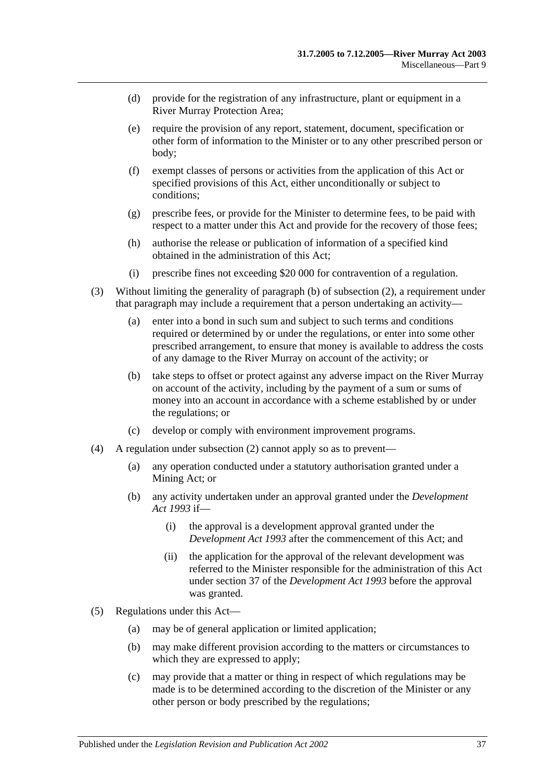- (d) provide for the registration of any infrastructure, plant or equipment in a River Murray Protection Area;
- (e) require the provision of any report, statement, document, specification or other form of information to the Minister or to any other prescribed person or body;
- (f) exempt classes of persons or activities from the application of this Act or specified provisions of this Act, either unconditionally or subject to conditions;
- (g) prescribe fees, or provide for the Minister to determine fees, to be paid with respect to a matter under this Act and provide for the recovery of those fees;
- (h) authorise the release or publication of information of a specified kind obtained in the administration of this Act;
- (i) prescribe fines not exceeding \$20 000 for contravention of a regulation.
- (3) Without limiting the generality of [paragraph](#page-35-3) (b) of [subsection](#page-35-4) (2), a requirement under that paragraph may include a requirement that a person undertaking an activity—
	- (a) enter into a bond in such sum and subject to such terms and conditions required or determined by or under the regulations, or enter into some other prescribed arrangement, to ensure that money is available to address the costs of any damage to the River Murray on account of the activity; or
	- (b) take steps to offset or protect against any adverse impact on the River Murray on account of the activity, including by the payment of a sum or sums of money into an account in accordance with a scheme established by or under the regulations; or
	- (c) develop or comply with environment improvement programs.
- (4) A regulation under [subsection](#page-35-4) (2) cannot apply so as to prevent—
	- (a) any operation conducted under a statutory authorisation granted under a Mining Act; or
	- (b) any activity undertaken under an approval granted under the *[Development](http://www.legislation.sa.gov.au/index.aspx?action=legref&type=act&legtitle=Development%20Act%201993)  Act [1993](http://www.legislation.sa.gov.au/index.aspx?action=legref&type=act&legtitle=Development%20Act%201993)* if—
		- (i) the approval is a development approval granted under the *[Development Act](http://www.legislation.sa.gov.au/index.aspx?action=legref&type=act&legtitle=Development%20Act%201993) 1993* after the commencement of this Act; and
		- (ii) the application for the approval of the relevant development was referred to the Minister responsible for the administration of this Act under section 37 of the *[Development Act](http://www.legislation.sa.gov.au/index.aspx?action=legref&type=act&legtitle=Development%20Act%201993) 1993* before the approval was granted.
- (5) Regulations under this Act—
	- (a) may be of general application or limited application;
	- (b) may make different provision according to the matters or circumstances to which they are expressed to apply;
	- (c) may provide that a matter or thing in respect of which regulations may be made is to be determined according to the discretion of the Minister or any other person or body prescribed by the regulations;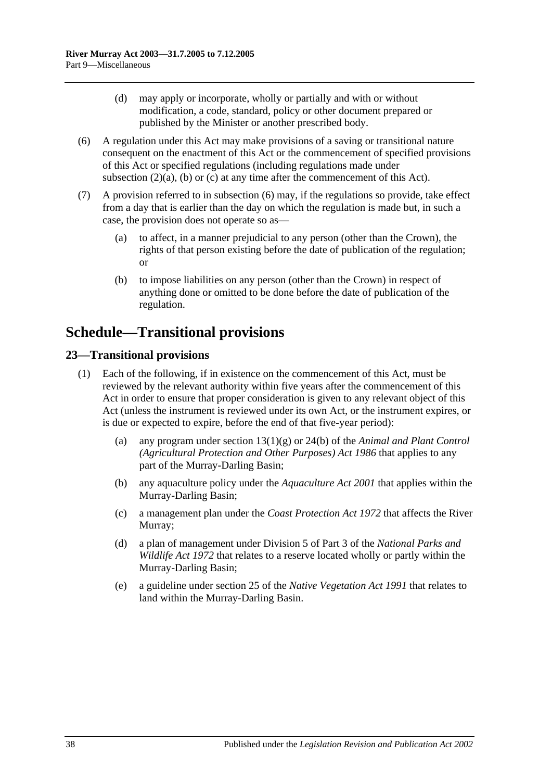- (d) may apply or incorporate, wholly or partially and with or without modification, a code, standard, policy or other document prepared or published by the Minister or another prescribed body.
- <span id="page-37-2"></span>(6) A regulation under this Act may make provisions of a saving or transitional nature consequent on the enactment of this Act or the commencement of specified provisions of this Act or specified regulations (including regulations made under [subsection](#page-35-5)  $(2)(a)$ ,  $(b)$  or  $(c)$  at any time after the commencement of this Act).
- (7) A provision referred to in [subsection](#page-37-2) (6) may, if the regulations so provide, take effect from a day that is earlier than the day on which the regulation is made but, in such a case, the provision does not operate so as—
	- (a) to affect, in a manner prejudicial to any person (other than the Crown), the rights of that person existing before the date of publication of the regulation; or
	- (b) to impose liabilities on any person (other than the Crown) in respect of anything done or omitted to be done before the date of publication of the regulation.

## <span id="page-37-0"></span>**Schedule—Transitional provisions**

### <span id="page-37-1"></span>**23—Transitional provisions**

- (1) Each of the following, if in existence on the commencement of this Act, must be reviewed by the relevant authority within five years after the commencement of this Act in order to ensure that proper consideration is given to any relevant object of this Act (unless the instrument is reviewed under its own Act, or the instrument expires, or is due or expected to expire, before the end of that five-year period):
	- (a) any program under section 13(1)(g) or 24(b) of the *[Animal and Plant Control](http://www.legislation.sa.gov.au/index.aspx?action=legref&type=act&legtitle=Animal%20and%20Plant%20Control%20(Agricultural%20Protection%20and%20Other%20Purposes)%20Act%201986)  [\(Agricultural Protection and Other Purposes\) Act](http://www.legislation.sa.gov.au/index.aspx?action=legref&type=act&legtitle=Animal%20and%20Plant%20Control%20(Agricultural%20Protection%20and%20Other%20Purposes)%20Act%201986) 1986* that applies to any part of the Murray-Darling Basin;
	- (b) any aquaculture policy under the *[Aquaculture Act](http://www.legislation.sa.gov.au/index.aspx?action=legref&type=act&legtitle=Aquaculture%20Act%202001) 2001* that applies within the Murray-Darling Basin;
	- (c) a management plan under the *[Coast Protection Act](http://www.legislation.sa.gov.au/index.aspx?action=legref&type=act&legtitle=Coast%20Protection%20Act%201972) 1972* that affects the River Murray;
	- (d) a plan of management under Division 5 of Part 3 of the *[National Parks and](http://www.legislation.sa.gov.au/index.aspx?action=legref&type=act&legtitle=National%20Parks%20and%20Wildlife%20Act%201972)  [Wildlife Act](http://www.legislation.sa.gov.au/index.aspx?action=legref&type=act&legtitle=National%20Parks%20and%20Wildlife%20Act%201972) 1972* that relates to a reserve located wholly or partly within the Murray-Darling Basin;
	- (e) a guideline under section 25 of the *[Native Vegetation Act](http://www.legislation.sa.gov.au/index.aspx?action=legref&type=act&legtitle=Native%20Vegetation%20Act%201991) 1991* that relates to land within the Murray-Darling Basin.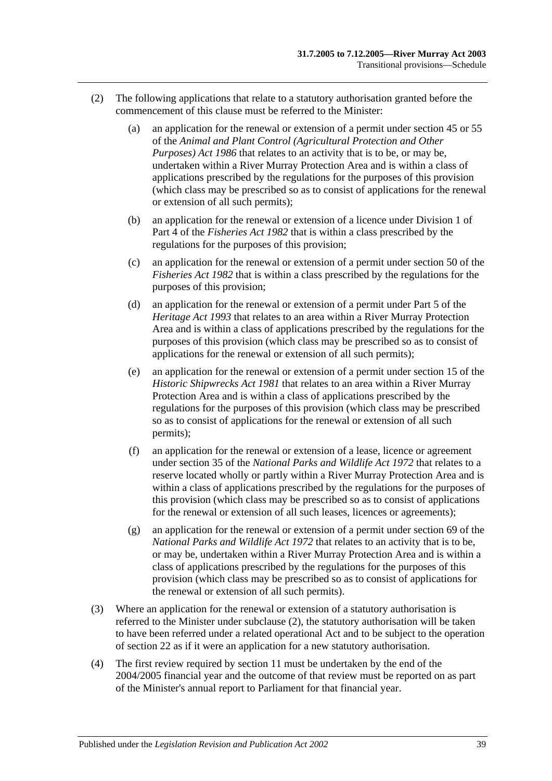- <span id="page-38-0"></span>(2) The following applications that relate to a statutory authorisation granted before the commencement of this clause must be referred to the Minister:
	- (a) an application for the renewal or extension of a permit under section 45 or 55 of the *[Animal and Plant Control \(Agricultural Protection and Other](http://www.legislation.sa.gov.au/index.aspx?action=legref&type=act&legtitle=Animal%20and%20Plant%20Control%20(Agricultural%20Protection%20and%20Other%20Purposes)%20Act%201986)  [Purposes\) Act](http://www.legislation.sa.gov.au/index.aspx?action=legref&type=act&legtitle=Animal%20and%20Plant%20Control%20(Agricultural%20Protection%20and%20Other%20Purposes)%20Act%201986) 1986* that relates to an activity that is to be, or may be, undertaken within a River Murray Protection Area and is within a class of applications prescribed by the regulations for the purposes of this provision (which class may be prescribed so as to consist of applications for the renewal or extension of all such permits);
	- (b) an application for the renewal or extension of a licence under Division 1 of Part 4 of the *[Fisheries Act](http://www.legislation.sa.gov.au/index.aspx?action=legref&type=act&legtitle=Fisheries%20Act%201982) 1982* that is within a class prescribed by the regulations for the purposes of this provision;
	- (c) an application for the renewal or extension of a permit under section 50 of the *[Fisheries Act](http://www.legislation.sa.gov.au/index.aspx?action=legref&type=act&legtitle=Fisheries%20Act%201982) 1982* that is within a class prescribed by the regulations for the purposes of this provision;
	- (d) an application for the renewal or extension of a permit under Part 5 of the *[Heritage Act](http://www.legislation.sa.gov.au/index.aspx?action=legref&type=act&legtitle=Heritage%20Act%201993) 1993* that relates to an area within a River Murray Protection Area and is within a class of applications prescribed by the regulations for the purposes of this provision (which class may be prescribed so as to consist of applications for the renewal or extension of all such permits);
	- (e) an application for the renewal or extension of a permit under section 15 of the *[Historic Shipwrecks Act](http://www.legislation.sa.gov.au/index.aspx?action=legref&type=act&legtitle=Historic%20Shipwrecks%20Act%201981) 1981* that relates to an area within a River Murray Protection Area and is within a class of applications prescribed by the regulations for the purposes of this provision (which class may be prescribed so as to consist of applications for the renewal or extension of all such permits);
	- (f) an application for the renewal or extension of a lease, licence or agreement under section 35 of the *[National Parks and Wildlife Act](http://www.legislation.sa.gov.au/index.aspx?action=legref&type=act&legtitle=National%20Parks%20and%20Wildlife%20Act%201972) 1972* that relates to a reserve located wholly or partly within a River Murray Protection Area and is within a class of applications prescribed by the regulations for the purposes of this provision (which class may be prescribed so as to consist of applications for the renewal or extension of all such leases, licences or agreements);
	- (g) an application for the renewal or extension of a permit under section 69 of the *[National Parks and Wildlife Act](http://www.legislation.sa.gov.au/index.aspx?action=legref&type=act&legtitle=National%20Parks%20and%20Wildlife%20Act%201972) 1972* that relates to an activity that is to be, or may be, undertaken within a River Murray Protection Area and is within a class of applications prescribed by the regulations for the purposes of this provision (which class may be prescribed so as to consist of applications for the renewal or extension of all such permits).
- (3) Where an application for the renewal or extension of a statutory authorisation is referred to the Minister under [subclause](#page-38-0) (2), the statutory authorisation will be taken to have been referred under a related operational Act and to be subject to the operation of [section](#page-19-1) 22 as if it were an application for a new statutory authorisation.
- (4) The first review required by [section](#page-11-1) 11 must be undertaken by the end of the 2004/2005 financial year and the outcome of that review must be reported on as part of the Minister's annual report to Parliament for that financial year.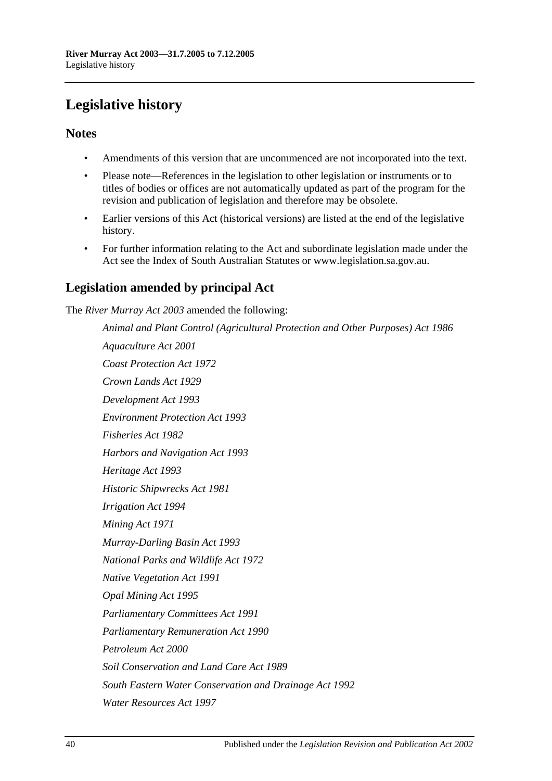## <span id="page-39-0"></span>**Legislative history**

### **Notes**

- Amendments of this version that are uncommenced are not incorporated into the text.
- Please note—References in the legislation to other legislation or instruments or to titles of bodies or offices are not automatically updated as part of the program for the revision and publication of legislation and therefore may be obsolete.
- Earlier versions of this Act (historical versions) are listed at the end of the legislative history.
- For further information relating to the Act and subordinate legislation made under the Act see the Index of South Australian Statutes or www.legislation.sa.gov.au.

### **Legislation amended by principal Act**

The *River Murray Act 2003* amended the following:

*Animal and Plant Control (Agricultural Protection and Other Purposes) Act 1986 Aquaculture Act 2001 Coast Protection Act 1972 Crown Lands Act 1929 Development Act 1993 Environment Protection Act 1993 Fisheries Act 1982 Harbors and Navigation Act 1993 Heritage Act 1993 Historic Shipwrecks Act 1981 Irrigation Act 1994 Mining Act 1971 Murray-Darling Basin Act 1993 National Parks and Wildlife Act 1972 Native Vegetation Act 1991 Opal Mining Act 1995 Parliamentary Committees Act 1991 Parliamentary Remuneration Act 1990 Petroleum Act 2000 Soil Conservation and Land Care Act 1989 South Eastern Water Conservation and Drainage Act 1992 Water Resources Act 1997*